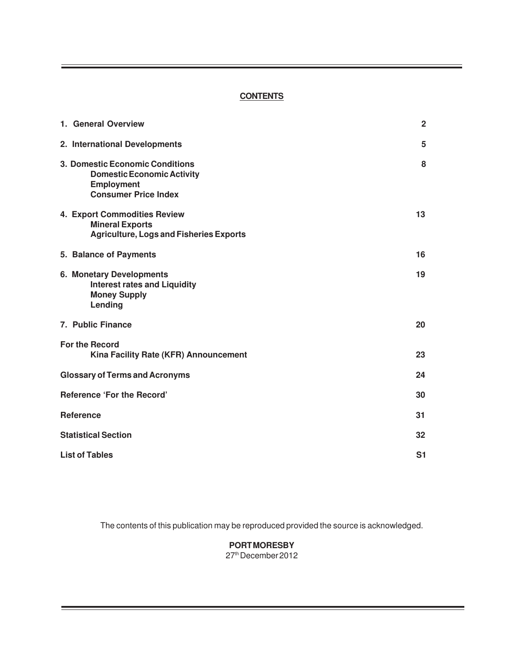## **CONTENTS**

| 1. General Overview                                                                                                      | $\overline{2}$ |
|--------------------------------------------------------------------------------------------------------------------------|----------------|
| 2. International Developments                                                                                            | 5              |
| 3. Domestic Economic Conditions<br><b>Domestic Economic Activity</b><br><b>Employment</b><br><b>Consumer Price Index</b> | 8              |
| 4. Export Commodities Review<br><b>Mineral Exports</b><br><b>Agriculture, Logs and Fisheries Exports</b>                 | 13             |
| 5. Balance of Payments                                                                                                   | 16             |
| 6. Monetary Developments<br><b>Interest rates and Liquidity</b><br><b>Money Supply</b><br>Lending                        | 19             |
| 7. Public Finance                                                                                                        | 20             |
| <b>For the Record</b><br>Kina Facility Rate (KFR) Announcement                                                           | 23             |
| <b>Glossary of Terms and Acronyms</b>                                                                                    | 24             |
| <b>Reference 'For the Record'</b>                                                                                        | 30             |
| <b>Reference</b>                                                                                                         | 31             |
| <b>Statistical Section</b>                                                                                               | 32             |
| <b>List of Tables</b>                                                                                                    | S <sub>1</sub> |

The contents of this publication may be reproduced provided the source is acknowledged.

**PORT MORESBY** 27th December 2012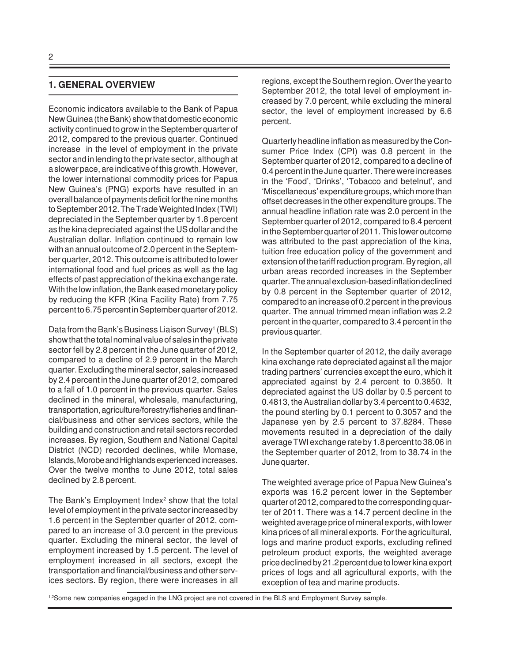### **1. GENERAL OVERVIEW**

Economic indicators available to the Bank of Papua New Guinea (the Bank) show that domestic economic activity continued to grow in the September quarter of 2012, compared to the previous quarter. Continued increase in the level of employment in the private sector and in lending to the private sector, although at a slower pace, are indicative of this growth. However, the lower international commodity prices for Papua New Guinea's (PNG) exports have resulted in an overall balance of payments deficit for the nine months to September 2012. The Trade Weighted Index (TWI) depreciated in the September quarter by 1.8 percent as the kina depreciated against the US dollar and the Australian dollar. Inflation continued to remain low with an annual outcome of 2.0 percent in the September quarter, 2012. This outcome is attributed to lower international food and fuel prices as well as the lag effects of past appreciation of the kina exchange rate. With the low inflation, the Bank eased monetary policy by reducing the KFR (Kina Facility Rate) from 7.75 percent to 6.75 percent in September quarter of 2012.

Data from the Bank's Business Liaison Survey<sup>1</sup> (BLS) show that the total nominal value of sales in the private sector fell by 2.8 percent in the June quarter of 2012, compared to a decline of 2.9 percent in the March quarter. Excluding the mineral sector, sales increased by 2.4 percent in the June quarter of 2012, compared to a fall of 1.0 percent in the previous quarter. Sales declined in the mineral, wholesale, manufacturing, transportation, agriculture/forestry/fisheries and financial/business and other services sectors, while the building and construction and retail sectors recorded increases. By region, Southern and National Capital District (NCD) recorded declines, while Momase, Islands, Morobe and Highlands experienced increases. Over the twelve months to June 2012, total sales declined by 2.8 percent.

The Bank's Employment Index<sup>2</sup> show that the total level of employment in the private sector increased by 1.6 percent in the September quarter of 2012, compared to an increase of 3.0 percent in the previous quarter. Excluding the mineral sector, the level of employment increased by 1.5 percent. The level of employment increased in all sectors, except the transportation and financial/business and other services sectors. By region, there were increases in all regions, except the Southern region. Over the year to September 2012, the total level of employment increased by 7.0 percent, while excluding the mineral sector, the level of employment increased by 6.6 percent.

Quarterly headline inflation as measured by the Consumer Price Index (CPI) was 0.8 percent in the September quarter of 2012, compared to a decline of 0.4 percent in the June quarter. There were increases in the 'Food', 'Drinks', 'Tobacco and betelnut', and 'Miscellaneous' expenditure groups, which more than offset decreases in the other expenditure groups. The annual headline inflation rate was 2.0 percent in the September quarter of 2012, compared to 8.4 percent in the September quarter of 2011. This lower outcome was attributed to the past appreciation of the kina, tuition free education policy of the government and extension of the tariff reduction program. By region, all urban areas recorded increases in the September quarter. The annual exclusion-based inflation declined by 0.8 percent in the September quarter of 2012, compared to an increase of 0.2 percent in the previous quarter. The annual trimmed mean inflation was 2.2 percent in the quarter, compared to 3.4 percent in the previous quarter.

In the September quarter of 2012, the daily average kina exchange rate depreciated against all the major trading partners' currencies except the euro, which it appreciated against by 2.4 percent to 0.3850. It depreciated against the US dollar by 0.5 percent to 0.4813, the Australian dollar by 3.4 percent to 0.4632, the pound sterling by 0.1 percent to 0.3057 and the Japanese yen by 2.5 percent to 37.8284. These movements resulted in a depreciation of the daily average TWI exchange rate by 1.8 percent to 38.06 in the September quarter of 2012, from to 38.74 in the June quarter.

The weighted average price of Papua New Guinea's exports was 16.2 percent lower in the September quarter of 2012, compared to the corresponding quarter of 2011. There was a 14.7 percent decline in the weighted average price of mineral exports, with lower kina prices of all mineral exports. For the agricultural, logs and marine product exports, excluding refined petroleum product exports, the weighted average price declined by 21.2 percent due to lower kina export prices of logs and all agricultural exports, with the exception of tea and marine products.

1,2Some new companies engaged in the LNG project are not covered in the BLS and Employment Survey sample.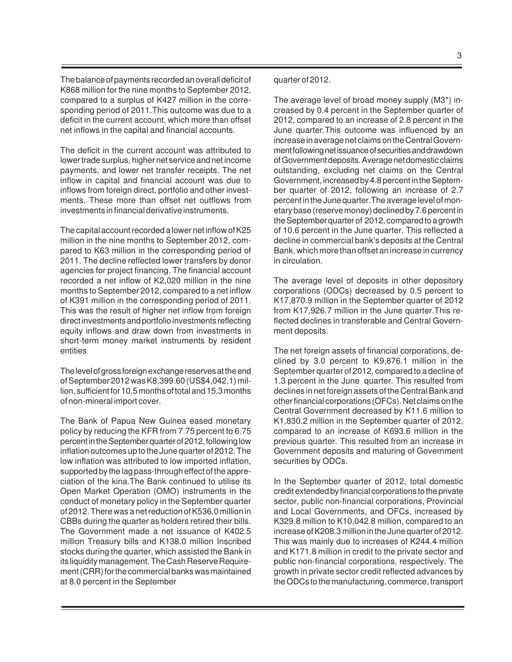The balance of payments recorded an overall deficit of K868 million for the nine months to September 2012, compared to a surplus of K427 million in the corresponding period of 2011.This outcome was due to a deficit in the current account, which more than offset net inflows in the capital and financial accounts.

The deficit in the current account was attributed to lower trade surplus, higher net service and net income payments, and lower net transfer receipts. The net inflow in capital and financial account was due to inflows from foreign direct, portfolio and other investments. These more than offset net outflows from investments in financial derivative instruments.

The capital account recorded a lower net inflow of K25 million in the nine months to September 2012, compared to K63 million in the corresponding period of 2011. The decline reflected lower transfers by donor agencies for project financing. The financial account recorded a net inflow of K2,020 million in the nine months to September 2012, compared to a net inflow of K391 million in the corresponding period of 2011. This was the result of higher net inflow from foreign direct investments and portfolio investments reflecting equity inflows and draw down from investments in short-term money market instruments by resident entities

The level of gross foreign exchange reserves at the end of September 2012 was K8,399.60 (US\$4,042.1) million, sufficient for 10.5 months of total and 15.3 months of non-mineral import cover.

The Bank of Papua New Guinea eased monetary policy by reducing the KFR from 7.75 percent to 6.75 percent in the September quarter of 2012, following low inflation outcomes up to the June quarter of 2012. The low inflation was attributed to low imported inflation, supported by the lag pass-through effect of the appreciation of the kina.The Bank continued to utilise its Open Market Operation (OMO) instruments in the conduct of monetary policy in the September quarter of 2012. There was a net reduction of K536.0 million in CBBs during the quarter as holders retired their bills. The Government made a net issuance of K402.5 million Treasury bills and K138.0 million Inscribed stocks during the quarter, which assisted the Bank in its liquidity management. The Cash Reserve Requirement (CRR) for the commercial banks was maintained at 8.0 percent in the September

#### quarter of 2012.

The average level of broad money supply (M3\*) increased by 0.4 percent in the September quarter of 2012, compared to an increase of 2.8 percent in the June quarter.This outcome was influenced by an increase in average net claims on the Central Government following net issuance of securities and drawdown of Government deposits. Average net domestic claims outstanding, excluding net claims on the Central Government, increased by 4.8 percent in the September quarter of 2012, following an increase of 2.7 percent in the June quarter.The average level of monetary base (reserve money) declined by 7.6 percent in the September quarter of 2012, compared to a growth of 10.6 percent in the June quarter. This reflected a decline in commercial bank's deposits at the Central Bank, which more than offset an increase in currency in circulation.

The average level of deposits in other depository corporations (ODCs) decreased by 0.5 percent to K17,870.9 million in the September quarter of 2012 from K17,926.7 million in the June quarter.This reflected declines in transferable and Central Government deposits.

The net foreign assets of financial corporations, declined by 3.0 percent to K9,876.1 million in the September quarter of 2012, compared to a decline of 1.3 percent in the June quarter. This resulted from declines in net foreign assets of the Central Bank and other financial corporations (OFCs). Net claims on the Central Government decreased by K11.6 million to K1,830.2 million in the September quarter of 2012, compared to an increase of K693.6 million in the previous quarter. This resulted from an increase in Government deposits and maturing of Government securities by ODCs.

In the September quarter of 2012, total domestic credit extended by financial corporations to the private sector, public non-financial corporations, Provincial and Local Governments, and OFCs, increased by K329.8 million to K10,042.8 million, compared to an increase of K208.3 million in the June quarter of 2012. This was mainly due to increases of K244.4 million and K171.8 million in credit to the private sector and public non-financial corporations, respectively. The growth in private sector credit reflected advances by the ODCs to the manufacturing, commerce, transport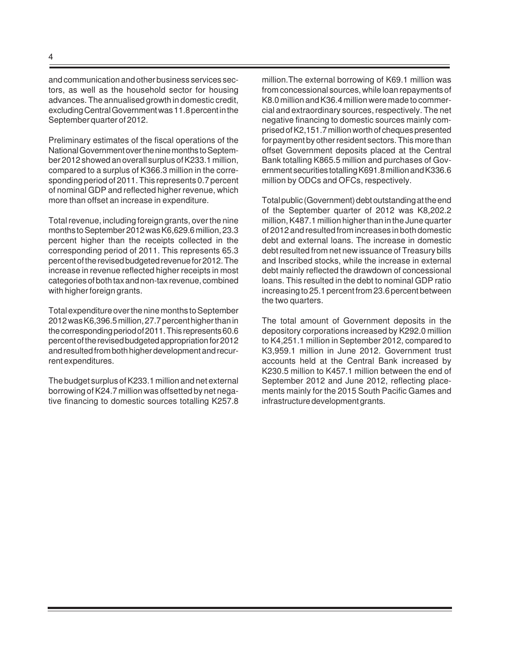and communication and other business services sectors, as well as the household sector for housing advances. The annualised growth in domestic credit, excluding Central Government was 11.8 percent in the September quarter of 2012.

Preliminary estimates of the fiscal operations of the National Government over the nine months to September 2012 showed an overall surplus of K233.1 million, compared to a surplus of K366.3 million in the corresponding period of 2011. This represents 0.7 percent of nominal GDP and reflected higher revenue, which more than offset an increase in expenditure.

Total revenue, including foreign grants, over the nine months to September 2012 was K6,629.6 million, 23.3 percent higher than the receipts collected in the corresponding period of 2011. This represents 65.3 percent of the revised budgeted revenue for 2012. The increase in revenue reflected higher receipts in most categories of both tax and non-tax revenue, combined with higher foreign grants.

Total expenditure over the nine months to September 2012 was K6,396.5 million, 27.7 percent higher than in the corresponding period of 2011. This represents 60.6 percent of the revised budgeted appropriation for 2012 and resulted from both higher development and recurrent expenditures.

The budget surplus of K233.1 million and net external borrowing of K24.7 million was offsetted by net negative financing to domestic sources totalling K257.8 million.The external borrowing of K69.1 million was from concessional sources, while loan repayments of K8.0 million and K36.4 million were made to commercial and extraordinary sources, respectively. The net negative financing to domestic sources mainly comprised of K2,151.7 million worth of cheques presented for payment by other resident sectors. This more than offset Government deposits placed at the Central Bank totalling K865.5 million and purchases of Government securities totalling K691.8 million and K336.6 million by ODCs and OFCs, respectively.

Total public (Government) debt outstanding at the end of the September quarter of 2012 was K8,202.2 million, K487.1 million higher than in the June quarter of 2012 and resulted from increases in both domestic debt and external loans. The increase in domestic debt resulted from net new issuance of Treasury bills and Inscribed stocks, while the increase in external debt mainly reflected the drawdown of concessional loans. This resulted in the debt to nominal GDP ratio increasing to 25.1 percent from 23.6 percent between the two quarters.

The total amount of Government deposits in the depository corporations increased by K292.0 million to K4,251.1 million in September 2012, compared to K3,959.1 million in June 2012. Government trust accounts held at the Central Bank increased by K230.5 million to K457.1 million between the end of September 2012 and June 2012, reflecting placements mainly for the 2015 South Pacific Games and infrastructure development grants.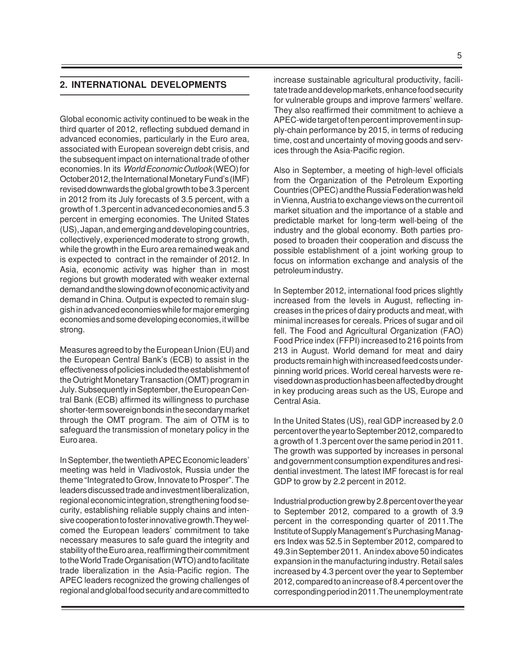## **2. INTERNATIONAL DEVELOPMENTS**

Global economic activity continued to be weak in the third quarter of 2012, reflecting subdued demand in advanced economies, particularly in the Euro area, associated with European sovereign debt crisis, and the subsequent impact on international trade of other economies. In its World Economic Outlook (WEO) for October 2012, the International Monetary Fund's (IMF) revised downwards the global growth to be 3.3 percent in 2012 from its July forecasts of 3.5 percent, with a growth of 1.3 percent in advanced economies and 5.3 percent in emerging economies. The United States (US), Japan, and emerging and developing countries, collectively, experienced moderate to strong growth, while the growth in the Euro area remained weak and is expected to contract in the remainder of 2012. In Asia, economic activity was higher than in most regions but growth moderated with weaker external demand and the slowing down of economic activity and demand in China. Output is expected to remain sluggish in advanced economies while for major emerging economies and some developing economies, it will be strong.

Measures agreed to by the European Union (EU) and the European Central Bank's (ECB) to assist in the effectiveness of policies included the establishment of the Outright Monetary Transaction (OMT) program in July. Subsequently in September, the European Central Bank (ECB) affirmed its willingness to purchase shorter-term sovereign bonds in the secondary market through the OMT program. The aim of OTM is to safeguard the transmission of monetary policy in the Euro area.

In September, the twentieth APEC Economic leaders' meeting was held in Vladivostok, Russia under the theme "Integrated to Grow, Innovate to Prosper". The leaders discussed trade and investment liberalization, regional economic integration, strengthening food security, establishing reliable supply chains and intensive cooperation to foster innovative growth.They welcomed the European leaders' commitment to take necessary measures to safe guard the integrity and stability of the Euro area, reaffirming their commitment to the World Trade Organisation (WTO) and to facilitate trade liberalization in the Asia-Pacific region. The APEC leaders recognized the growing challenges of regional and global food security and are committed to

increase sustainable agricultural productivity, facilitate trade and develop markets, enhance food security for vulnerable groups and improve farmers' welfare. They also reaffirmed their commitment to achieve a APEC-wide target of ten percent improvement in supply-chain performance by 2015, in terms of reducing time, cost and uncertainty of moving goods and services through the Asia-Pacific region.

Also in September, a meeting of high-level officials from the Organization of the Petroleum Exporting Countries (OPEC) and the Russia Federation was held in Vienna, Austria to exchange views on the current oil market situation and the importance of a stable and predictable market for long-term well-being of the industry and the global economy. Both parties proposed to broaden their cooperation and discuss the possible establishment of a joint working group to focus on information exchange and analysis of the petroleum industry.

In September 2012, international food prices slightly increased from the levels in August, reflecting increases in the prices of dairy products and meat, with minimal increases for cereals. Prices of sugar and oil fell. The Food and Agricultural Organization (FAO) Food Price index (FFPI) increased to 216 points from 213 in August. World demand for meat and dairy products remain high with increased feed costs underpinning world prices. World cereal harvests were revised down as production has been affected by drought in key producing areas such as the US, Europe and Central Asia.

In the United States (US), real GDP increased by 2.0 percent over the year to September 2012, compared to a growth of 1.3 percent over the same period in 2011. The growth was supported by increases in personal and government consumption expenditures and residential investment. The latest IMF forecast is for real GDP to grow by 2.2 percent in 2012.

Industrial production grew by 2.8 percent over the year to September 2012, compared to a growth of 3.9 percent in the corresponding quarter of 2011.The Institute of Supply Management's Purchasing Managers Index was 52.5 in September 2012, compared to 49.3 in September 2011. An index above 50 indicates expansion in the manufacturing industry. Retail sales increased by 4.3 percent over the year to September 2012, compared to an increase of 8.4 percent over the corresponding period in 2011.The unemployment rate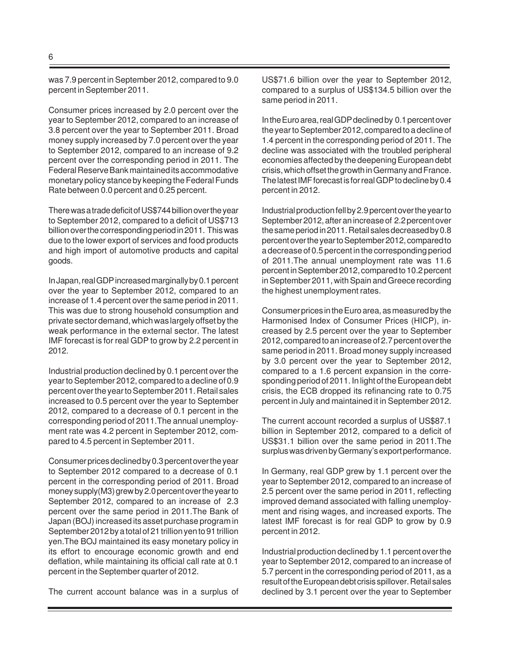was 7.9 percent in September 2012, compared to 9.0 percent in September 2011.

Consumer prices increased by 2.0 percent over the year to September 2012, compared to an increase of 3.8 percent over the year to September 2011. Broad money supply increased by 7.0 percent over the year to September 2012, compared to an increase of 9.2 percent over the corresponding period in 2011. The Federal Reserve Bank maintained its accommodative monetary policy stance by keeping the Federal Funds Rate between 0.0 percent and 0.25 percent.

There was a trade deficit of US\$744 billion over the year to September 2012, compared to a deficit of US\$713 billion over the corresponding period in 2011. This was due to the lower export of services and food products and high import of automotive products and capital goods.

In Japan, real GDP increased marginally by 0.1 percent over the year to September 2012, compared to an increase of 1.4 percent over the same period in 2011. This was due to strong household consumption and private sector demand, which was largely offset by the weak performance in the external sector. The latest IMF forecast is for real GDP to grow by 2.2 percent in 2012.

Industrial production declined by 0.1 percent over the year to September 2012, compared to a decline of 0.9 percent over the year to September 2011. Retail sales increased to 0.5 percent over the year to September 2012, compared to a decrease of 0.1 percent in the corresponding period of 2011.The annual unemployment rate was 4.2 percent in September 2012, compared to 4.5 percent in September 2011.

Consumer prices declined by 0.3 percent over the year to September 2012 compared to a decrease of 0.1 percent in the corresponding period of 2011. Broad money supply(M3) grew by 2.0 percent over the year to September 2012, compared to an increase of 2.3 percent over the same period in 2011.The Bank of Japan (BOJ) increased its asset purchase program in September 2012 by a total of 21 trillion yen to 91 trillion yen.The BOJ maintained its easy monetary policy in its effort to encourage economic growth and end deflation, while maintaining its official call rate at 0.1 percent in the September quarter of 2012.

The current account balance was in a surplus of

US\$71.6 billion over the year to September 2012, compared to a surplus of US\$134.5 billion over the same period in 2011.

In the Euro area, real GDP declined by 0.1 percent over the year to September 2012, compared to a decline of 1.4 percent in the corresponding period of 2011. The decline was associated with the troubled peripheral economies affected by the deepening European debt crisis, which offset the growth in Germany and France. The latest IMF forecast is for real GDP to decline by 0.4 percent in 2012.

Industrial production fell by 2.9 percent over the year to September 2012, after an increase of 2.2 percent over the same period in 2011. Retail sales decreased by 0.8 percent over the year to September 2012, compared to a decrease of 0.5 percent in the corresponding period of 2011.The annual unemployment rate was 11.6 percent in September 2012, compared to 10.2 percent in September 2011, with Spain and Greece recording the highest unemployment rates.

Consumer prices in the Euro area, as measured by the Harmonised Index of Consumer Prices (HICP), increased by 2.5 percent over the year to September 2012, compared to an increase of 2.7 percent over the same period in 2011. Broad money supply increased by 3.0 percent over the year to September 2012, compared to a 1.6 percent expansion in the corresponding period of 2011. In light of the European debt crisis, the ECB dropped its refinancing rate to 0.75 percent in July and maintained it in September 2012.

The current account recorded a surplus of US\$87.1 billion in September 2012, compared to a deficit of US\$31.1 billion over the same period in 2011.The surplus was driven by Germany's export performance.

In Germany, real GDP grew by 1.1 percent over the year to September 2012, compared to an increase of 2.5 percent over the same period in 2011, reflecting improved demand associated with falling unemployment and rising wages, and increased exports. The latest IMF forecast is for real GDP to grow by 0.9 percent in 2012.

Industrial production declined by 1.1 percent over the year to September 2012, compared to an increase of 5.7 percent in the corresponding period of 2011, as a result of the European debt crisis spillover. Retail sales declined by 3.1 percent over the year to September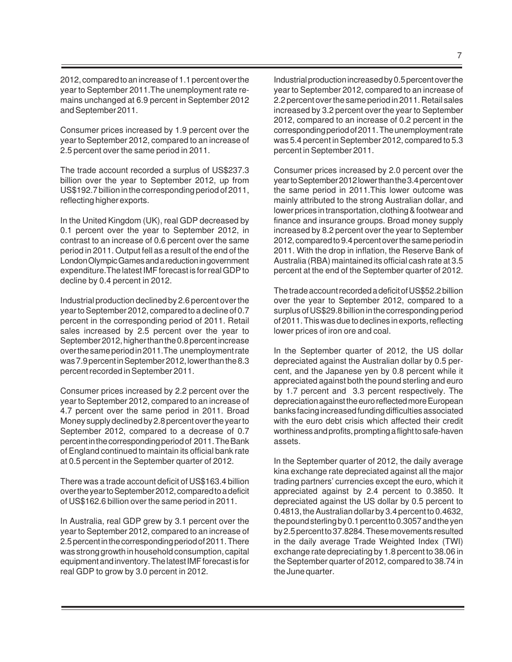2012, compared to an increase of 1.1 percent over the year to September 2011.The unemployment rate remains unchanged at 6.9 percent in September 2012 and September 2011.

Consumer prices increased by 1.9 percent over the year to September 2012, compared to an increase of 2.5 percent over the same period in 2011.

The trade account recorded a surplus of US\$237.3 billion over the year to September 2012, up from US\$192.7 billion in the corresponding period of 2011, reflecting higher exports.

In the United Kingdom (UK), real GDP decreased by 0.1 percent over the year to September 2012, in contrast to an increase of 0.6 percent over the same period in 2011. Output fell as a result of the end of the London Olympic Games and a reduction in government expenditure.The latest IMF forecast is for real GDP to decline by 0.4 percent in 2012.

Industrial production declined by 2.6 percent over the year to September 2012, compared to a decline of 0.7 percent in the corresponding period of 2011. Retail sales increased by 2.5 percent over the year to September 2012, higher than the 0.8 percent increase over the same period in 2011.The unemployment rate was 7.9 percent in September 2012, lower than the 8.3 percent recorded in September 2011.

Consumer prices increased by 2.2 percent over the year to September 2012, compared to an increase of 4.7 percent over the same period in 2011. Broad Money supply declined by 2.8 percent over the year to September 2012, compared to a decrease of 0.7 percent in the corresponding period of 2011. The Bank of England continued to maintain its official bank rate at 0.5 percent in the September quarter of 2012.

There was a trade account deficit of US\$163.4 billion over the year to September 2012, compared to a deficit of US\$162.6 billion over the same period in 2011.

In Australia, real GDP grew by 3.1 percent over the year to September 2012, compared to an increase of 2.5 percent in the corresponding period of 2011. There was strong growth in household consumption, capital equipment and inventory. The latest IMF forecast is for real GDP to grow by 3.0 percent in 2012.

Industrial production increased by 0.5 percent over the year to September 2012, compared to an increase of 2.2 percent over the same period in 2011. Retail sales increased by 3.2 percent over the year to September 2012, compared to an increase of 0.2 percent in the corresponding period of 2011. The unemployment rate was 5.4 percent in September 2012, compared to 5.3 percent in September 2011.

Consumer prices increased by 2.0 percent over the year to September 2012 lower than the 3.4 percent over the same period in 2011.This lower outcome was mainly attributed to the strong Australian dollar, and lower prices in transportation, clothing & footwear and finance and insurance groups. Broad money supply increased by 8.2 percent over the year to September 2012, compared to 9.4 percent over the same period in 2011. With the drop in inflation, the Reserve Bank of Australia (RBA) maintained its official cash rate at 3.5 percent at the end of the September quarter of 2012.

The trade account recorded a deficit of US\$52.2 billion over the year to September 2012, compared to a surplus of US\$29.8 billion in the corresponding period of 2011. This was due to declines in exports, reflecting lower prices of iron ore and coal.

In the September quarter of 2012, the US dollar depreciated against the Australian dollar by 0.5 percent, and the Japanese yen by 0.8 percent while it appreciated against both the pound sterling and euro by 1.7 percent and 3.3 percent respectively. The depreciation against the euro reflected more European banks facing increased funding difficulties associated with the euro debt crisis which affected their credit worthiness and profits, prompting a flight to safe-haven assets.

In the September quarter of 2012, the daily average kina exchange rate depreciated against all the major trading partners' currencies except the euro, which it appreciated against by 2.4 percent to 0.3850. It depreciated against the US dollar by 0.5 percent to 0.4813, the Australian dollar by 3.4 percent to 0.4632, the pound sterling by 0.1 percent to 0.3057 and the yen by 2.5 percent to 37.8284. These movements resulted in the daily average Trade Weighted Index (TWI) exchange rate depreciating by 1.8 percent to 38.06 in the September quarter of 2012, compared to 38.74 in the June quarter.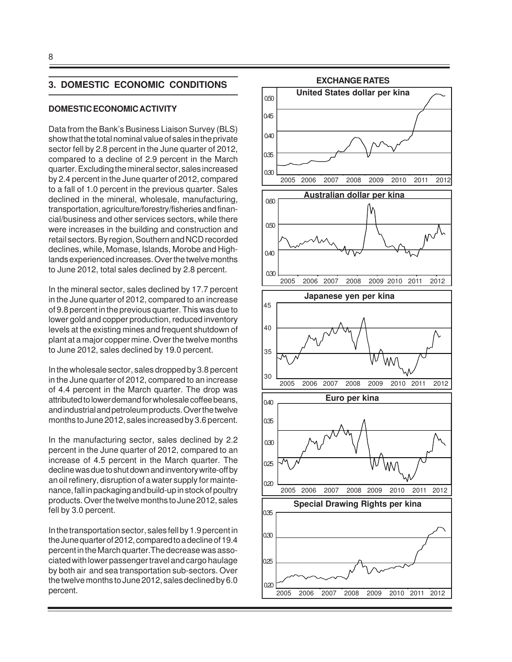#### **3. DOMESTIC ECONOMIC CONDITIONS**

#### **DOMESTIC ECONOMIC ACTIVITY**

Data from the Bank's Business Liaison Survey (BLS) show that the total nominal value of sales in the private sector fell by 2.8 percent in the June quarter of 2012, compared to a decline of 2.9 percent in the March quarter. Excluding the mineral sector, sales increased by 2.4 percent in the June quarter of 2012, compared to a fall of 1.0 percent in the previous quarter. Sales declined in the mineral, wholesale, manufacturing, transportation, agriculture/forestry/fisheries and financial/business and other services sectors, while there were increases in the building and construction and retail sectors. By region, Southern and NCD recorded declines, while, Momase, Islands, Morobe and Highlands experienced increases. Over the twelve months to June 2012, total sales declined by 2.8 percent.

In the mineral sector, sales declined by 17.7 percent in the June quarter of 2012, compared to an increase of 9.8 percent in the previous quarter. This was due to lower gold and copper production, reduced inventory levels at the existing mines and frequent shutdown of plant at a major copper mine. Over the twelve months to June 2012, sales declined by 19.0 percent.

In the wholesale sector, sales dropped by 3.8 percent in the June quarter of 2012, compared to an increase of 4.4 percent in the March quarter. The drop was attributed to lower demand for wholesale coffee beans, and industrial and petroleum products. Over the twelve months to June 2012, sales increased by 3.6 percent.

In the manufacturing sector, sales declined by 2.2 percent in the June quarter of 2012, compared to an increase of 4.5 percent in the March quarter. The decline was due to shut down and inventory write-off by an oil refinery, disruption of a water supply for maintenance, fall in packaging and build-up in stock of poultry products. Over the twelve months to June 2012, sales fell by 3.0 percent.

In the transportation sector, sales fell by 1.9 percent in the June quarter of 2012, compared to a decline of 19.4 percent in the March quarter.The decrease was associated with lower passenger travel and cargo haulage by both air and sea transportation sub-sectors. Over the twelve months to June 2012, sales declined by 6.0 percent.

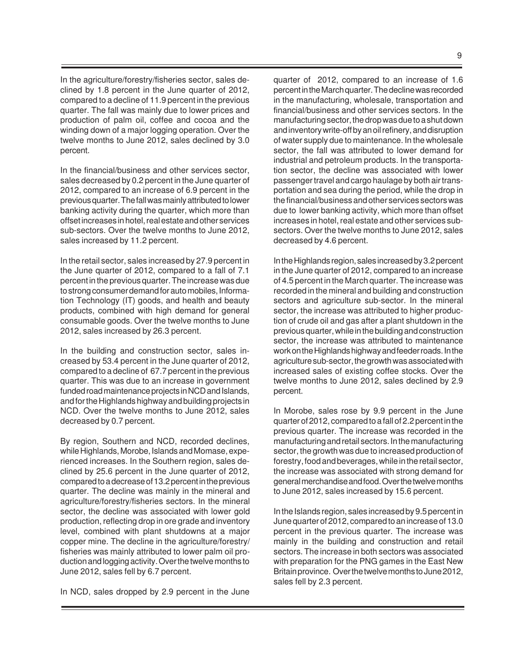In the agriculture/forestry/fisheries sector, sales declined by 1.8 percent in the June quarter of 2012, compared to a decline of 11.9 percent in the previous quarter. The fall was mainly due to lower prices and production of palm oil, coffee and cocoa and the winding down of a major logging operation. Over the twelve months to June 2012, sales declined by 3.0 percent.

In the financial/business and other services sector, sales decreased by 0.2 percent in the June quarter of 2012, compared to an increase of 6.9 percent in the previous quarter. The fall was mainly attributed to lower banking activity during the quarter, which more than offset increases in hotel, real estate and other services sub-sectors. Over the twelve months to June 2012, sales increased by 11.2 percent.

In the retail sector, sales increased by 27.9 percent in the June quarter of 2012, compared to a fall of 7.1 percent in the previous quarter. The increase was due to strong consumer demand for auto mobiles, Information Technology (IT) goods, and health and beauty products, combined with high demand for general consumable goods. Over the twelve months to June 2012, sales increased by 26.3 percent.

In the building and construction sector, sales increased by 53.4 percent in the June quarter of 2012, compared to a decline of 67.7 percent in the previous quarter. This was due to an increase in government funded road maintenance projects in NCD and Islands, and for the Highlands highway and building projects in NCD. Over the twelve months to June 2012, sales decreased by 0.7 percent.

By region, Southern and NCD, recorded declines, while Highlands, Morobe, Islands and Momase, experienced increases. In the Southern region, sales declined by 25.6 percent in the June quarter of 2012, compared to a decrease of 13.2 percent in the previous quarter. The decline was mainly in the mineral and agriculture/forestry/fisheries sectors. In the mineral sector, the decline was associated with lower gold production, reflecting drop in ore grade and inventory level, combined with plant shutdowns at a major copper mine. The decline in the agriculture/forestry/ fisheries was mainly attributed to lower palm oil production and logging activity. Over the twelve months to June 2012, sales fell by 6.7 percent.

In NCD, sales dropped by 2.9 percent in the June

quarter of 2012, compared to an increase of 1.6 percent in the March quarter. The decline was recorded in the manufacturing, wholesale, transportation and financial/business and other services sectors. In the manufacturing sector, the drop was due to a shut down and inventory write-off by an oil refinery, and disruption of water supply due to maintenance. In the wholesale sector, the fall was attributed to lower demand for industrial and petroleum products. In the transportation sector, the decline was associated with lower passenger travel and cargo haulage by both air transportation and sea during the period, while the drop in the financial/business and other services sectors was due to lower banking activity, which more than offset increases in hotel, real estate and other services subsectors. Over the twelve months to June 2012, sales decreased by 4.6 percent.

In the Highlands region, sales increased by 3.2 percent in the June quarter of 2012, compared to an increase of 4.5 percent in the March quarter. The increase was recorded in the mineral and building and construction sectors and agriculture sub-sector. In the mineral sector, the increase was attributed to higher production of crude oil and gas after a plant shutdown in the previous quarter, while in the building and construction sector, the increase was attributed to maintenance work on the Highlands highway and feeder roads. In the agriculture sub-sector, the growth was associated with increased sales of existing coffee stocks. Over the twelve months to June 2012, sales declined by 2.9 percent.

In Morobe, sales rose by 9.9 percent in the June quarter of 2012, compared to a fall of 2.2 percent in the previous quarter. The increase was recorded in the manufacturing and retail sectors. In the manufacturing sector, the growth was due to increased production of forestry, food and beverages, while in the retail sector, the increase was associated with strong demand for general merchandise and food. Over the twelve months to June 2012, sales increased by 15.6 percent.

In the Islands region, sales increased by 9.5 percent in June quarter of 2012, compared to an increase of 13.0 percent in the previous quarter. The increase was mainly in the building and construction and retail sectors. The increase in both sectors was associated with preparation for the PNG games in the East New Britain province. Over the twelve months to June 2012, sales fell by 2.3 percent.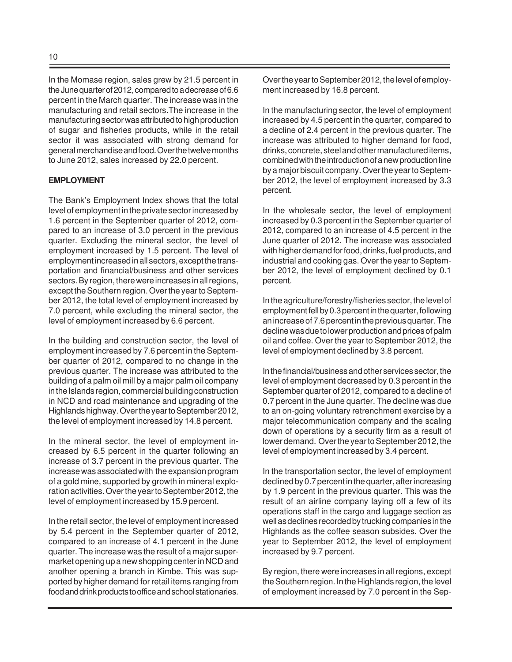In the Momase region, sales grew by 21.5 percent in the June quarter of 2012, compared to a decrease of 6.6 percent in the March quarter. The increase was in the manufacturing and retail sectors.The increase in the manufacturing sector was attributed to high production of sugar and fisheries products, while in the retail sector it was associated with strong demand for general merchandise and food. Over the twelve months to June 2012, sales increased by 22.0 percent.

#### **EMPLOYMENT**

The Bank's Employment Index shows that the total level of employment in the private sector increased by 1.6 percent in the September quarter of 2012, compared to an increase of 3.0 percent in the previous quarter. Excluding the mineral sector, the level of employment increased by 1.5 percent. The level of employment increased in all sectors, except the transportation and financial/business and other services sectors. By region, there were increases in all regions, except the Southern region. Over the year to September 2012, the total level of employment increased by 7.0 percent, while excluding the mineral sector, the level of employment increased by 6.6 percent.

In the building and construction sector, the level of employment increased by 7.6 percent in the September quarter of 2012, compared to no change in the previous quarter. The increase was attributed to the building of a palm oil mill by a major palm oil company in the Islands region, commercial building construction in NCD and road maintenance and upgrading of the Highlands highway. Over the year to September 2012, the level of employment increased by 14.8 percent.

In the mineral sector, the level of employment increased by 6.5 percent in the quarter following an increase of 3.7 percent in the previous quarter. The increase was associated with the expansion program of a gold mine, supported by growth in mineral exploration activities. Over the year to September 2012, the level of employment increased by 15.9 percent.

In the retail sector, the level of employment increased by 5.4 percent in the September quarter of 2012, compared to an increase of 4.1 percent in the June quarter. The increase was the result of a major supermarket opening up a new shopping center in NCD and another opening a branch in Kimbe. This was supported by higher demand for retail items ranging from food and drink products to office and school stationaries.

Over the year to September 2012, the level of employment increased by 16.8 percent.

In the manufacturing sector, the level of employment increased by 4.5 percent in the quarter, compared to a decline of 2.4 percent in the previous quarter. The increase was attributed to higher demand for food, drinks, concrete, steel and other manufactured items, combined with the introduction of a new production line by a major biscuit company. Over the year to September 2012, the level of employment increased by 3.3 percent.

In the wholesale sector, the level of employment increased by 0.3 percent in the September quarter of 2012, compared to an increase of 4.5 percent in the June quarter of 2012. The increase was associated with higher demand for food, drinks, fuel products, and industrial and cooking gas. Over the year to September 2012, the level of employment declined by 0.1 percent.

In the agriculture/forestry/fisheries sector, the level of employment fell by 0.3 percent in the quarter, following an increase of 7.6 percent in the previous quarter. The decline was due to lower production and prices of palm oil and coffee. Over the year to September 2012, the level of employment declined by 3.8 percent.

In the financial/business and other services sector, the level of employment decreased by 0.3 percent in the September quarter of 2012, compared to a decline of 0.7 percent in the June quarter. The decline was due to an on-going voluntary retrenchment exercise by a major telecommunication company and the scaling down of operations by a security firm as a result of lower demand. Over the year to September 2012, the level of employment increased by 3.4 percent.

In the transportation sector, the level of employment declined by 0.7 percent in the quarter, after increasing by 1.9 percent in the previous quarter. This was the result of an airline company laying off a few of its operations staff in the cargo and luggage section as well as declines recorded by trucking companies in the Highlands as the coffee season subsides. Over the year to September 2012, the level of employment increased by 9.7 percent.

By region, there were increases in all regions, except the Southern region. In the Highlands region, the level of employment increased by 7.0 percent in the Sep-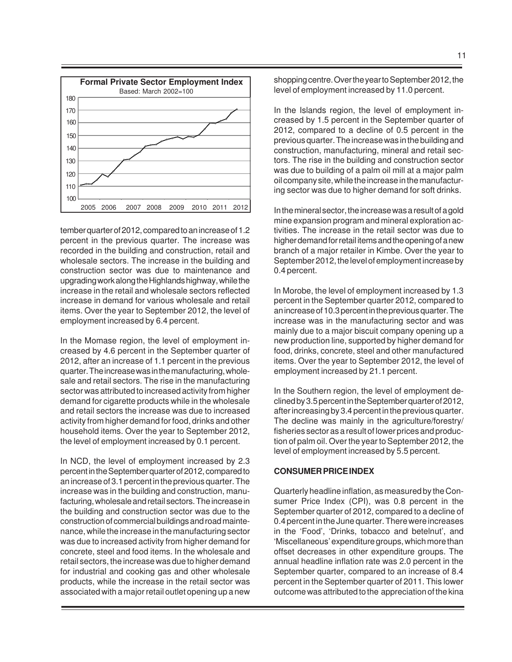

tember quarter of 2012, compared to an increase of 1.2 percent in the previous quarter. The increase was recorded in the building and construction, retail and wholesale sectors. The increase in the building and construction sector was due to maintenance and upgrading work along the Highlands highway, while the increase in the retail and wholesale sectors reflected increase in demand for various wholesale and retail items. Over the year to September 2012, the level of employment increased by 6.4 percent.

In the Momase region, the level of employment increased by 4.6 percent in the September quarter of 2012, after an increase of 1.1 percent in the previous quarter. The increase was in the manufacturing, wholesale and retail sectors. The rise in the manufacturing sector was attributed to increased activity from higher demand for cigarette products while in the wholesale and retail sectors the increase was due to increased activity from higher demand for food, drinks and other household items. Over the year to September 2012, the level of employment increased by 0.1 percent.

In NCD, the level of employment increased by 2.3 percent in the September quarter of 2012, compared to an increase of 3.1 percent in the previous quarter. The increase was in the building and construction, manufacturing, wholesale and retail sectors. The increase in the building and construction sector was due to the construction of commercial buildings and road maintenance, while the increase in the manufacturing sector was due to increased activity from higher demand for concrete, steel and food items. In the wholesale and retail sectors, the increase was due to higher demand for industrial and cooking gas and other wholesale products, while the increase in the retail sector was associated with a major retail outlet opening up a new

shopping centre. Over the year to September 2012, the level of employment increased by 11.0 percent.

In the Islands region, the level of employment increased by 1.5 percent in the September quarter of 2012, compared to a decline of 0.5 percent in the previous quarter. The increase was in the building and construction, manufacturing, mineral and retail sectors. The rise in the building and construction sector was due to building of a palm oil mill at a major palm oil company site, while the increase in the manufacturing sector was due to higher demand for soft drinks.

In the mineral sector, the increase was a result of a gold mine expansion program and mineral exploration activities. The increase in the retail sector was due to higher demand for retail items and the opening of a new branch of a major retailer in Kimbe. Over the year to September 2012, the level of employment increase by 0.4 percent.

In Morobe, the level of employment increased by 1.3 percent in the September quarter 2012, compared to an increase of 10.3 percent in the previous quarter. The increase was in the manufacturing sector and was mainly due to a major biscuit company opening up a new production line, supported by higher demand for food, drinks, concrete, steel and other manufactured items. Over the year to September 2012, the level of employment increased by 21.1 percent.

In the Southern region, the level of employment declined by 3.5 percent in the September quarter of 2012, after increasing by 3.4 percent in the previous quarter. The decline was mainly in the agriculture/forestry/ fisheries sector as a result of lower prices and production of palm oil. Over the year to September 2012, the level of employment increased by 5.5 percent.

#### **CONSUMER PRICE INDEX**

Quarterly headline inflation, as measured by the Consumer Price Index (CPI), was 0.8 percent in the September quarter of 2012, compared to a decline of 0.4 percent in the June quarter. There were increases in the 'Food', 'Drinks, tobacco and betelnut', and 'Miscellaneous' expenditure groups, which more than offset decreases in other expenditure groups. The annual headline inflation rate was 2.0 percent in the September quarter, compared to an increase of 8.4 percent in the September quarter of 2011. This lower outcome was attributed to the appreciation of the kina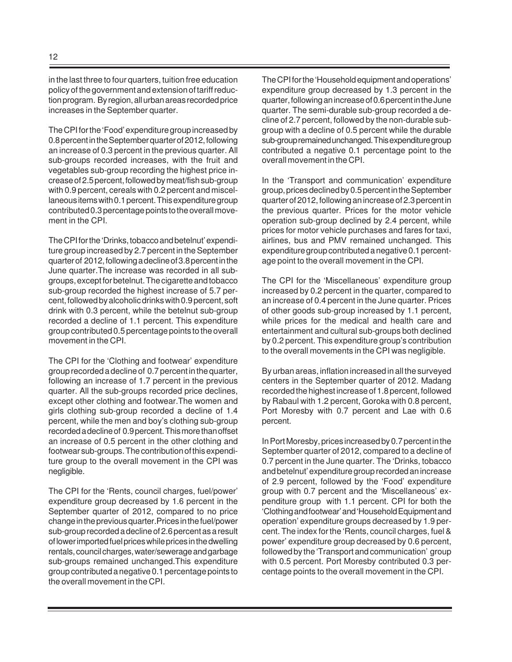in the last three to four quarters, tuition free education policy of the government and extension of tariff reduction program. By region, all urban areas recorded price increases in the September quarter.

The CPI for the 'Food' expenditure group increased by 0.8 percent in the September quarter of 2012, following an increase of 0.3 percent in the previous quarter. All sub-groups recorded increases, with the fruit and vegetables sub-group recording the highest price increase of 2.5 percent, followed by meat/fish sub-group with 0.9 percent, cereals with 0.2 percent and miscellaneous items with 0.1 percent. This expenditure group contributed 0.3 percentage points to the overall movement in the CPI.

The CPI for the 'Drinks, tobacco and betelnut' expenditure group increased by 2.7 percent in the September quarter of 2012, following a decline of 3.8 percent in the June quarter.The increase was recorded in all subgroups, except for betelnut. The cigarette and tobacco sub-group recorded the highest increase of 5.7 percent, followed by alcoholic drinks with 0.9 percent, soft drink with 0.3 percent, while the betelnut sub-group recorded a decline of 1.1 percent. This expenditure group contributed 0.5 percentage points to the overall movement in the CPI.

The CPI for the 'Clothing and footwear' expenditure group recorded a decline of 0.7 percent in the quarter, following an increase of 1.7 percent in the previous quarter. All the sub-groups recorded price declines, except other clothing and footwear.The women and girls clothing sub-group recorded a decline of 1.4 percent, while the men and boy's clothing sub-group recorded a decline of 0.9 percent. This more than offset an increase of 0.5 percent in the other clothing and footwear sub-groups. The contribution of this expenditure group to the overall movement in the CPI was negligible.

The CPI for the 'Rents, council charges, fuel/power' expenditure group decreased by 1.6 percent in the September quarter of 2012, compared to no price change in the previous quarter.Prices in the fuel/power sub-group recorded a decline of 2.6 percent as a result of lower imported fuel prices while prices in the dwelling rentals, council charges, water/sewerage and garbage sub-groups remained unchanged.This expenditure group contributed a negative 0.1 percentage points to the overall movement in the CPI.

The CPI for the 'Household equipment and operations' expenditure group decreased by 1.3 percent in the quarter, following an increase of 0.6 percent in the June quarter. The semi-durable sub-group recorded a decline of 2.7 percent, followed by the non-durable subgroup with a decline of 0.5 percent while the durable sub-group remained unchanged. This expenditure group contributed a negative 0.1 percentage point to the overall movement in the CPI.

In the 'Transport and communication' expenditure group, prices declined by 0.5 percent in the September quarter of 2012, following an increase of 2.3 percent in the previous quarter. Prices for the motor vehicle operation sub-group declined by 2.4 percent, while prices for motor vehicle purchases and fares for taxi, airlines, bus and PMV remained unchanged. This expenditure group contributed a negative 0.1 percentage point to the overall movement in the CPI.

The CPI for the 'Miscellaneous' expenditure group increased by 0.2 percent in the quarter, compared to an increase of 0.4 percent in the June quarter. Prices of other goods sub-group increased by 1.1 percent, while prices for the medical and health care and entertainment and cultural sub-groups both declined by 0.2 percent. This expenditure group's contribution to the overall movements in the CPI was negligible.

By urban areas, inflation increased in all the surveyed centers in the September quarter of 2012. Madang recorded the highest increase of 1.8 percent, followed by Rabaul with 1.2 percent, Goroka with 0.8 percent, Port Moresby with 0.7 percent and Lae with 0.6 percent.

In Port Moresby, prices increased by 0.7 percent in the September quarter of 2012, compared to a decline of 0.7 percent in the June quarter. The 'Drinks, tobacco and betelnut' expenditure group recorded an increase of 2.9 percent, followed by the 'Food' expenditure group with 0.7 percent and the 'Miscellaneous' expenditure group with 1.1 percent. CPI for both the 'Clothing and footwear' and 'Household Equipment and operation' expenditure groups decreased by 1.9 percent. The index for the 'Rents, council charges, fuel & power' expenditure group decreased by 0.6 percent, followed by the 'Transport and communication' group with 0.5 percent. Port Moresby contributed 0.3 percentage points to the overall movement in the CPI.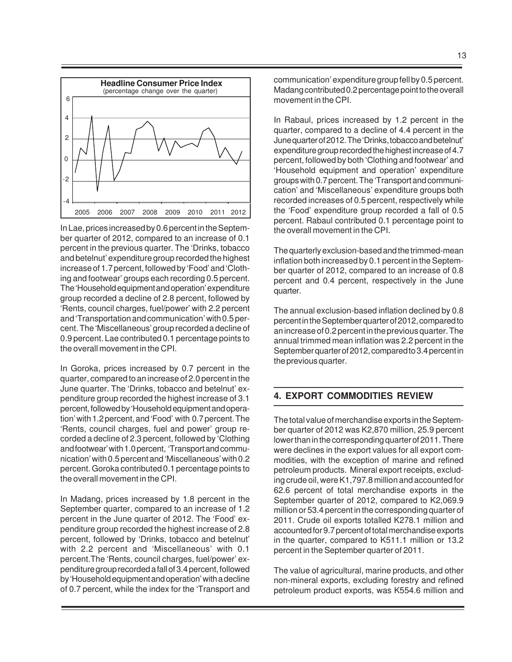

In Lae, prices increased by 0.6 percent in the September quarter of 2012, compared to an increase of 0.1 percent in the previous quarter. The 'Drinks, tobacco and betelnut' expenditure group recorded the highest increase of 1.7 percent, followed by 'Food' and 'Clothing and footwear' groups each recording 0.5 percent. The 'Household equipment and operation' expenditure group recorded a decline of 2.8 percent, followed by 'Rents, council charges, fuel/power' with 2.2 percent and 'Transportation and communication' with 0.5 percent. The 'Miscellaneous' group recorded a decline of 0.9 percent. Lae contributed 0.1 percentage points to the overall movement in the CPI.

In Goroka, prices increased by 0.7 percent in the quarter, compared to an increase of 2.0 percent in the June quarter. The 'Drinks, tobacco and betelnut' expenditure group recorded the highest increase of 3.1 percent, followed by 'Household equipment and operation' with 1.2 percent, and 'Food' with 0.7 percent. The 'Rents, council charges, fuel and power' group recorded a decline of 2.3 percent, followed by 'Clothing and footwear' with 1.0 percent, 'Transport and communication' with 0.5 percent and 'Miscellaneous' with 0.2 percent. Goroka contributed 0.1 percentage points to the overall movement in the CPI.

In Madang, prices increased by 1.8 percent in the September quarter, compared to an increase of 1.2 percent in the June quarter of 2012. The 'Food' expenditure group recorded the highest increase of 2.8 percent, followed by 'Drinks, tobacco and betelnut' with 2.2 percent and 'Miscellaneous' with 0.1 percent.The 'Rents, council charges, fuel/power' expenditure group recorded a fall of 3.4 percent, followed by 'Household equipment and operation' with a decline of 0.7 percent, while the index for the 'Transport and communication' expenditure group fell by 0.5 percent. Madang contributed 0.2 percentage point to the overall movement in the CPI.

In Rabaul, prices increased by 1.2 percent in the quarter, compared to a decline of 4.4 percent in the June quarter of 2012. The 'Drinks, tobacco and betelnut' expenditure group recorded the highest increase of 4.7 percent, followed by both 'Clothing and footwear' and 'Household equipment and operation' expenditure groups with 0.7 percent. The 'Transport and communication' and 'Miscellaneous' expenditure groups both recorded increases of 0.5 percent, respectively while the 'Food' expenditure group recorded a fall of 0.5 percent. Rabaul contributed 0.1 percentage point to the overall movement in the CPI.

The quarterly exclusion-based and the trimmed-mean inflation both increased by 0.1 percent in the September quarter of 2012, compared to an increase of 0.8 percent and 0.4 percent, respectively in the June quarter.

The annual exclusion-based inflation declined by 0.8 percent in the September quarter of 2012, compared to an increase of 0.2 percent in the previous quarter. The annual trimmed mean inflation was 2.2 percent in the September quarter of 2012, compared to 3.4 percent in the previous quarter.

#### **4. EXPORT COMMODITIES REVIEW**

The total value of merchandise exports in the September quarter of 2012 was K2,870 million, 25.9 percent lower than in the corresponding quarter of 2011. There were declines in the export values for all export commodities, with the exception of marine and refined petroleum products. Mineral export receipts, excluding crude oil, were K1,797.8 million and accounted for 62.6 percent of total merchandise exports in the September quarter of 2012, compared to K2,069.9 million or 53.4 percent in the corresponding quarter of 2011. Crude oil exports totalled K278.1 million and accounted for 9.7 percent of total merchandise exports in the quarter, compared to K511.1 million or 13.2 percent in the September quarter of 2011.

The value of agricultural, marine products, and other non-mineral exports, excluding forestry and refined petroleum product exports, was K554.6 million and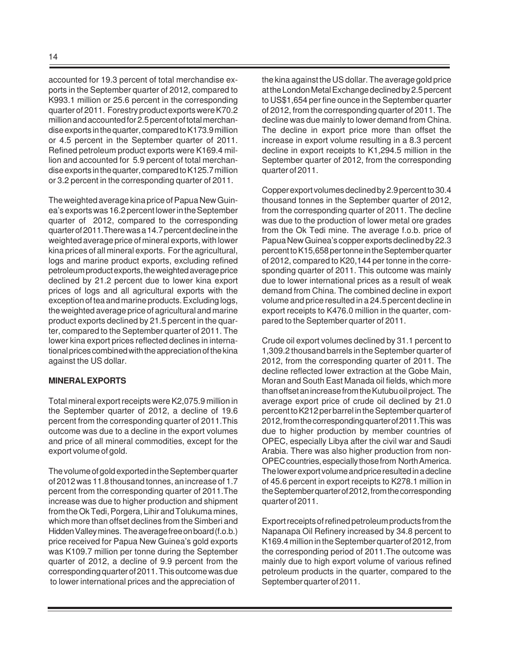accounted for 19.3 percent of total merchandise exports in the September quarter of 2012, compared to K993.1 million or 25.6 percent in the corresponding quarter of 2011. Forestry product exports were K70.2 million and accounted for 2.5 percent of total merchandise exports in the quarter, compared to K173.9 million or 4.5 percent in the September quarter of 2011. Refined petroleum product exports were K169.4 million and accounted for 5.9 percent of total merchandise exports in the quarter, compared to K125.7 million or 3.2 percent in the corresponding quarter of 2011.

The weighted average kina price of Papua New Guinea's exports was 16.2 percent lower in the September quarter of 2012, compared to the corresponding quarter of 2011.There was a 14.7 percent decline in the weighted average price of mineral exports, with lower kina prices of all mineral exports. For the agricultural, logs and marine product exports, excluding refined petroleum product exports, the weighted average price declined by 21.2 percent due to lower kina export prices of logs and all agricultural exports with the exception of tea and marine products. Excluding logs, the weighted average price of agricultural and marine product exports declined by 21.5 percent in the quarter, compared to the September quarter of 2011. The lower kina export prices reflected declines in international prices combined with the appreciation of the kina against the US dollar.

#### **MINERAL EXPORTS**

Total mineral export receipts were K2,075.9 million in the September quarter of 2012, a decline of 19.6 percent from the corresponding quarter of 2011.This outcome was due to a decline in the export volumes and price of all mineral commodities, except for the export volume of gold.

The volume of gold exported in the September quarter of 2012 was 11.8 thousand tonnes, an increase of 1.7 percent from the corresponding quarter of 2011.The increase was due to higher production and shipment from the Ok Tedi, Porgera, Lihir and Tolukuma mines, which more than offset declines from the Simberi and Hidden Valley mines. The average free on board (f.o.b.) price received for Papua New Guinea's gold exports was K109.7 million per tonne during the September quarter of 2012, a decline of 9.9 percent from the corresponding quarter of 2011. This outcome was due to lower international prices and the appreciation of

the kina against the US dollar. The average gold price at the London Metal Exchange declined by 2.5 percent to US\$1,654 per fine ounce in the September quarter of 2012, from the corresponding quarter of 2011. The decline was due mainly to lower demand from China. The decline in export price more than offset the increase in export volume resulting in a 8.3 percent decline in export receipts to K1,294.5 million in the September quarter of 2012, from the corresponding quarter of 2011.

Copper export volumes declined by 2.9 percent to 30.4 thousand tonnes in the September quarter of 2012, from the corresponding quarter of 2011. The decline was due to the production of lower metal ore grades from the Ok Tedi mine. The average f.o.b. price of Papua New Guinea's copper exports declined by 22.3 percent to K15,658 per tonne in the September quarter of 2012, compared to K20,144 per tonne in the corresponding quarter of 2011. This outcome was mainly due to lower international prices as a result of weak demand from China. The combined decline in export volume and price resulted in a 24.5 percent decline in export receipts to K476.0 million in the quarter, compared to the September quarter of 2011.

Crude oil export volumes declined by 31.1 percent to 1,309.2 thousand barrels in the September quarter of 2012, from the corresponding quarter of 2011. The decline reflected lower extraction at the Gobe Main, Moran and South East Manada oil fields, which more than offset an increase from the Kutubu oil project. The average export price of crude oil declined by 21.0 percent to K212 per barrel in the September quarter of 2012, from the corresponding quarter of 2011.This was due to higher production by member countries of OPEC, especially Libya after the civil war and Saudi Arabia. There was also higher production from non-OPEC countries, especially those from North America. The lower export volume and price resulted in a decline of 45.6 percent in export receipts to K278.1 million in the September quarter of 2012, from the corresponding quarter of 2011.

Export receipts of refined petroleum products from the Napanapa Oil Refinery increased by 34.8 percent to K169.4 million in the September quarter of 2012, from the corresponding period of 2011.The outcome was mainly due to high export volume of various refined petroleum products in the quarter, compared to the September quarter of 2011.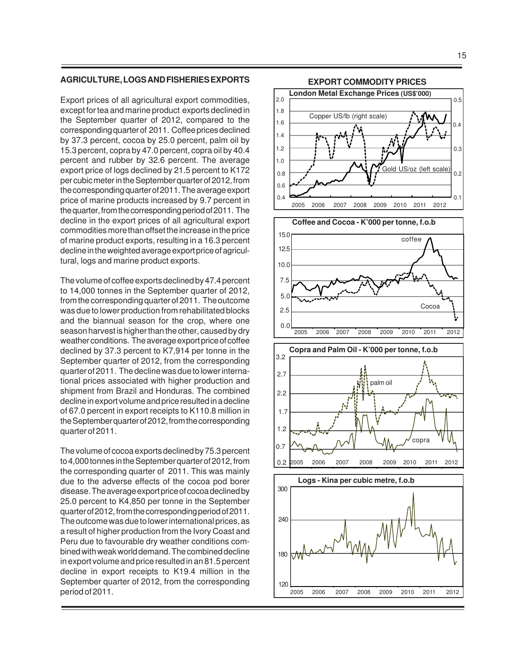#### **AGRICULTURE, LOGS AND FISHERIES EXPORTS**

Export prices of all agricultural export commodities, except for tea and marine product exports declined in the September quarter of 2012, compared to the corresponding quarter of 2011. Coffee prices declined by 37.3 percent, cocoa by 25.0 percent, palm oil by 15.3 percent, copra by 47.0 percent, copra oil by 40.4 percent and rubber by 32.6 percent. The average export price of logs declined by 21.5 percent to K172 per cubic meter in the September quarter of 2012, from the corresponding quarter of 2011. The average export price of marine products increased by 9.7 percent in the quarter, from the corresponding period of 2011. The decline in the export prices of all agricultural export commodities more than offset the increase in the price of marine product exports, resulting in a 16.3 percent decline in the weighted average export price of agricultural, logs and marine product exports.

The volume of coffee exports declined by 47.4 percent to 14,000 tonnes in the September quarter of 2012, from the corresponding quarter of 2011. The outcome was due to lower production from rehabilitated blocks and the biannual season for the crop, where one season harvest is higher than the other, caused by dry weather conditions. The average export price of coffee declined by 37.3 percent to K7,914 per tonne in the September quarter of 2012, from the corresponding quarter of 2011. The decline was due to lower international prices associated with higher production and shipment from Brazil and Honduras. The combined decline in export volume and price resulted in a decline of 67.0 percent in export receipts to K110.8 million in the September quarter of 2012, from the corresponding quarter of 2011.

The volume of cocoa exports declined by 75.3 percent to 4,000 tonnes in the September quarter of 2012, from the corresponding quarter of 2011. This was mainly due to the adverse effects of the cocoa pod borer disease. The average export price of cocoa declined by 25.0 percent to K4,850 per tonne in the September quarter of 2012, from the corresponding period of 2011. The outcome was due to lower international prices, as a result of higher production from the Ivory Coast and Peru due to favourable dry weather conditions combined with weak world demand. The combined decline in export volume and price resulted in an 81.5 percent decline in export receipts to K19.4 million in the September quarter of 2012, from the corresponding period of 2011.





**EXPORT COMMODITY PRICES**



 $0.2$ 

Gold US/oz (left scale)

0.3

0.4

0.5

0.1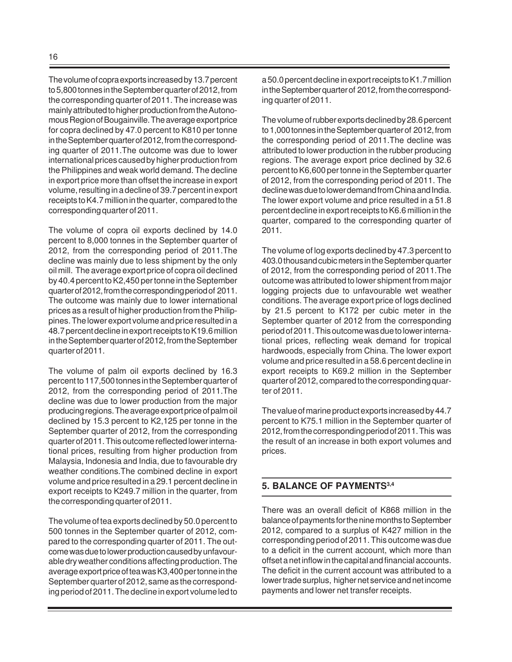The volume of copra exports increased by 13.7 percent to 5,800 tonnes in the September quarter of 2012, from the corresponding quarter of 2011. The increase was mainly attributed to higher production from the Autonomous Region of Bougainville. The average export price for copra declined by 47.0 percent to K810 per tonne in the September quarter of 2012, from the corresponding quarter of 2011.The outcome was due to lower international prices caused by higher production from the Philippines and weak world demand. The decline in export price more than offset the increase in export volume, resulting in a decline of 39.7 percent in export receipts to K4.7 million in the quarter, compared to the corresponding quarter of 2011.

The volume of copra oil exports declined by 14.0 percent to 8,000 tonnes in the September quarter of 2012, from the corresponding period of 2011.The decline was mainly due to less shipment by the only oil mill. The average export price of copra oil declined by 40.4 percent to K2,450 per tonne in the September quarter of 2012, from the corresponding period of 2011. The outcome was mainly due to lower international prices as a result of higher production from the Philippines. The lower export volume and price resulted in a 48.7 percent decline in export receipts to K19.6 million in the September quarter of 2012, from the September quarter of 2011.

The volume of palm oil exports declined by 16.3 percent to 117,500 tonnes in the September quarter of 2012, from the corresponding period of 2011.The decline was due to lower production from the major producing regions. The average export price of palm oil declined by 15.3 percent to K2,125 per tonne in the September quarter of 2012, from the corresponding quarter of 2011. This outcome reflected lower international prices, resulting from higher production from Malaysia, Indonesia and India, due to favourable dry weather conditions.The combined decline in export volume and price resulted in a 29.1 percent decline in export receipts to K249.7 million in the quarter, from the corresponding quarter of 2011.

The volume of tea exports declined by 50.0 percent to 500 tonnes in the September quarter of 2012, compared to the corresponding quarter of 2011. The outcome was due to lower production caused by unfavourable dry weather conditions affecting production. The average export price of tea was K3,400 per tonne in the September quarter of 2012, same as the corresponding period of 2011. The decline in export volume led to a 50.0 percent decline in export receipts to K1.7 million in the September quarter of 2012, from the corresponding quarter of 2011.

The volume of rubber exports declined by 28.6 percent to 1,000 tonnes in the September quarter of 2012, from the corresponding period of 2011.The decline was attributed to lower production in the rubber producing regions. The average export price declined by 32.6 percent to K6,600 per tonne in the September quarter of 2012, from the corresponding period of 2011. The decline was due to lower demand from China and India. The lower export volume and price resulted in a 51.8 percent decline in export receipts to K6.6 million in the quarter, compared to the corresponding quarter of 2011.

The volume of log exports declined by 47.3 percent to 403.0 thousand cubic meters in the September quarter of 2012, from the corresponding period of 2011.The outcome was attributed to lower shipment from major logging projects due to unfavourable wet weather conditions. The average export price of logs declined by 21.5 percent to K172 per cubic meter in the September quarter of 2012 from the corresponding period of 2011. This outcome was due to lower international prices, reflecting weak demand for tropical hardwoods, especially from China. The lower export volume and price resulted in a 58.6 percent decline in export receipts to K69.2 million in the September quarter of 2012, compared to the corresponding quarter of 2011.

The value of marine product exports increased by 44.7 percent to K75.1 million in the September quarter of 2012, from the corresponding period of 2011. This was the result of an increase in both export volumes and prices.

### **5. BALANCE OF PAYMENTS3,4**

There was an overall deficit of K868 million in the balance of payments for the nine months to September 2012, compared to a surplus of K427 million in the corresponding period of 2011. This outcome was due to a deficit in the current account, which more than offset a net inflow in the capital and financial accounts. The deficit in the current account was attributed to a lower trade surplus, higher net service and net income payments and lower net transfer receipts.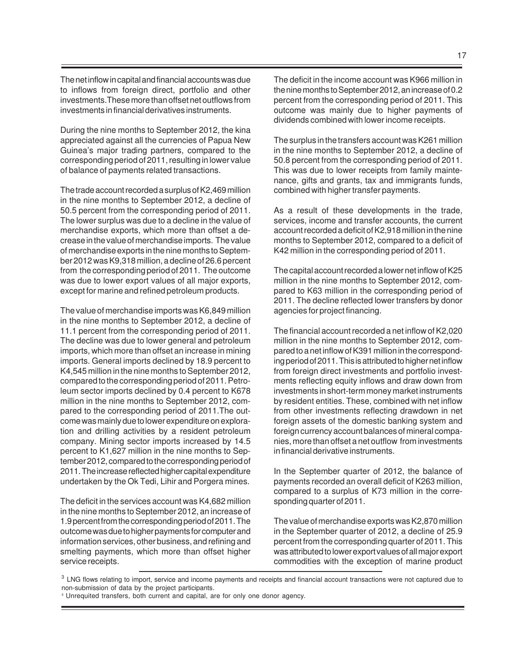The net inflow in capital and financial accounts was due to inflows from foreign direct, portfolio and other investments.These more than offset net outflows from investments in financial derivatives instruments.

During the nine months to September 2012, the kina appreciated against all the currencies of Papua New Guinea's major trading partners, compared to the corresponding period of 2011, resulting in lower value of balance of payments related transactions.

The trade account recorded a surplus of K2,469 million in the nine months to September 2012, a decline of 50.5 percent from the corresponding period of 2011. The lower surplus was due to a decline in the value of merchandise exports, which more than offset a decrease in the value of merchandise imports. The value of merchandise exports in the nine months to September 2012 was K9,318 million, a decline of 26.6 percent from the corresponding period of 2011. The outcome was due to lower export values of all major exports, except for marine and refined petroleum products.

The value of merchandise imports was K6,849 million in the nine months to September 2012, a decline of 11.1 percent from the corresponding period of 2011. The decline was due to lower general and petroleum imports, which more than offset an increase in mining imports. General imports declined by 18.9 percent to K4,545 million in the nine months to September 2012, compared to the corresponding period of 2011. Petroleum sector imports declined by 0.4 percent to K678 million in the nine months to September 2012, compared to the corresponding period of 2011.The outcome was mainly due to lower expenditure on exploration and drilling activities by a resident petroleum company. Mining sector imports increased by 14.5 percent to K1,627 million in the nine months to September 2012, compared to the corresponding period of 2011. The increase reflected higher capital expenditure undertaken by the Ok Tedi, Lihir and Porgera mines.

The deficit in the services account was K4,682 million in the nine months to September 2012, an increase of 1.9 percent from the corresponding period of 2011. The outcome was due to higher payments for computer and information services, other business, and refining and smelting payments, which more than offset higher service receipts.

The deficit in the income account was K966 million in the nine months to September 2012, an increase of 0.2 percent from the corresponding period of 2011. This outcome was mainly due to higher payments of dividends combined with lower income receipts.

The surplus in the transfers account was K261 million in the nine months to September 2012, a decline of 50.8 percent from the corresponding period of 2011. This was due to lower receipts from family maintenance, gifts and grants, tax and immigrants funds, combined with higher transfer payments.

As a result of these developments in the trade, services, income and transfer accounts, the current account recorded a deficit of K2,918 million in the nine months to September 2012, compared to a deficit of K42 million in the corresponding period of 2011.

The capital account recorded a lower net inflow of K25 million in the nine months to September 2012, compared to K63 million in the corresponding period of 2011. The decline reflected lower transfers by donor agencies for project financing.

The financial account recorded a net inflow of K2,020 million in the nine months to September 2012, compared to a net inflow of K391 million in the corresponding period of 2011. This is attributed to higher net inflow from foreign direct investments and portfolio investments reflecting equity inflows and draw down from investments in short-term money market instruments by resident entities. These, combined with net inflow from other investments reflecting drawdown in net foreign assets of the domestic banking system and foreign currency account balances of mineral companies, more than offset a net outflow from investments in financial derivative instruments.

In the September quarter of 2012, the balance of payments recorded an overall deficit of K263 million, compared to a surplus of K73 million in the corresponding quarter of 2011.

The value of merchandise exports was K2,870 million in the September quarter of 2012, a decline of 25.9 percent from the corresponding quarter of 2011. This was attributed to lower export values of all major export commodities with the exception of marine product

 $3$  LNG flows relating to import, service and income payments and receipts and financial account transactions were not captured due to non-submission of data by the project participants.

<sup>4</sup> Unrequited transfers, both current and capital, are for only one donor agency.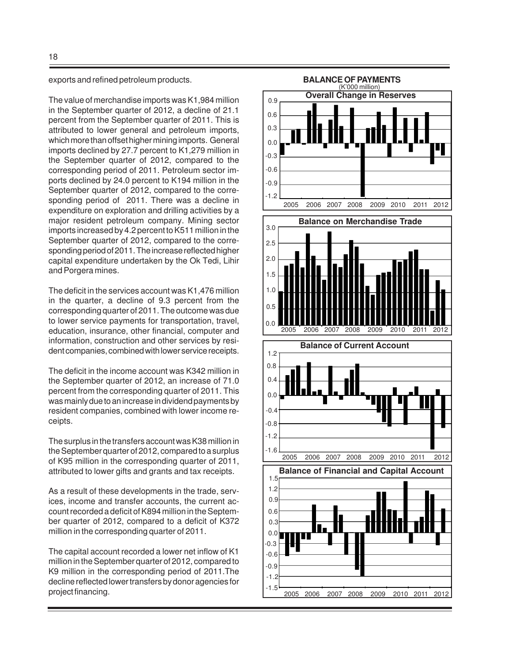exports and refined petroleum products.

The value of merchandise imports was K1,984 million in the September quarter of 2012, a decline of 21.1 percent from the September quarter of 2011. This is attributed to lower general and petroleum imports, which more than offset higher mining imports. General imports declined by 27.7 percent to K1,279 million in the September quarter of 2012, compared to the corresponding period of 2011. Petroleum sector imports declined by 24.0 percent to K194 million in the September quarter of 2012, compared to the corresponding period of 2011. There was a decline in expenditure on exploration and drilling activities by a major resident petroleum company. Mining sector imports increased by 4.2 percent to K511 million in the September quarter of 2012, compared to the corresponding period of 2011. The increase reflected higher capital expenditure undertaken by the Ok Tedi, Lihir and Porgera mines.

The deficit in the services account was K1,476 million in the quarter, a decline of 9.3 percent from the corresponding quarter of 2011. The outcome was due to lower service payments for transportation, travel, education, insurance, other financial, computer and information, construction and other services by resident companies, combined with lower service receipts.

The deficit in the income account was K342 million in the September quarter of 2012, an increase of 71.0 percent from the corresponding quarter of 2011. This was mainly due to an increase in dividend payments by resident companies, combined with lower income receipts.

The surplus in the transfers account was K38 million in the September quarter of 2012, compared to a surplus of K95 million in the corresponding quarter of 2011, attributed to lower gifts and grants and tax receipts.

As a result of these developments in the trade, services, income and transfer accounts, the current account recorded a deficit of K894 million in the September quarter of 2012, compared to a deficit of K372 million in the corresponding quarter of 2011.

The capital account recorded a lower net inflow of K1 million in the September quarter of 2012, compared to K9 million in the corresponding period of 2011.The decline reflected lower transfers by donor agencies for project financing.

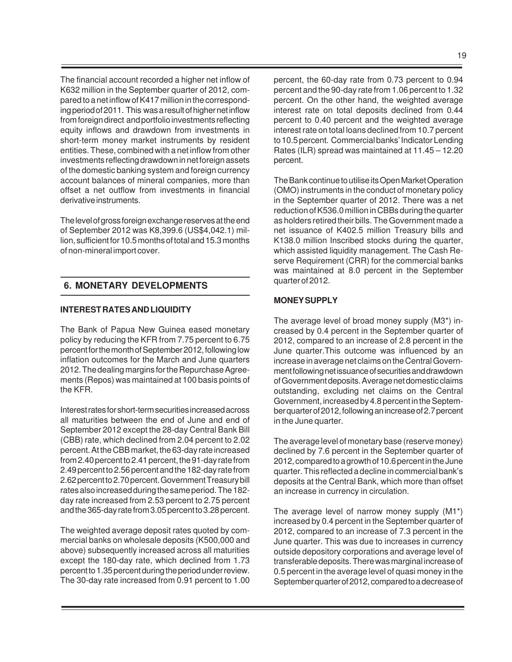The financial account recorded a higher net inflow of K632 million in the September quarter of 2012, compared to a net inflow of K417 million in the corresponding period of 2011. This was a result of higher net inflow from foreign direct and portfolio investments reflecting equity inflows and drawdown from investments in short-term money market instruments by resident entities. These, combined with a net inflow from other investments reflecting drawdown in net foreign assets of the domestic banking system and foreign currency account balances of mineral companies, more than offset a net outflow from investments in financial derivative instruments.

The level of gross foreign exchange reserves at the end of September 2012 was K8,399.6 (US\$4,042.1) million, sufficient for 10.5 months of total and 15.3 months of non-mineral import cover.

## **6. MONETARY DEVELOPMENTS**

#### **INTEREST RATES AND LIQUIDITY**

The Bank of Papua New Guinea eased monetary policy by reducing the KFR from 7.75 percent to 6.75 percent for the month of September 2012, following low inflation outcomes for the March and June quarters 2012. The dealing margins for the Repurchase Agreements (Repos) was maintained at 100 basis points of the KFR.

Interest rates for short-term securities increased across all maturities between the end of June and end of September 2012 except the 28-day Central Bank Bill (CBB) rate, which declined from 2.04 percent to 2.02 percent. At the CBB market, the 63-day rate increased from 2.40 percent to 2.41 percent, the 91-day rate from 2.49 percent to 2.56 percent and the 182-day rate from 2.62 percent to 2.70 percent. Government Treasury bill rates also increased during the same period. The 182 day rate increased from 2.53 percent to 2.75 percent and the 365-day rate from 3.05 percent to 3.28 percent.

The weighted average deposit rates quoted by commercial banks on wholesale deposits (K500,000 and above) subsequently increased across all maturities except the 180-day rate, which declined from 1.73 percent to 1.35 percent during the period under review. The 30-day rate increased from 0.91 percent to 1.00

percent, the 60-day rate from 0.73 percent to 0.94 percent and the 90-day rate from 1.06 percent to 1.32 percent. On the other hand, the weighted average interest rate on total deposits declined from 0.44 percent to 0.40 percent and the weighted average interest rate on total loans declined from 10.7 percent to 10.5 percent. Commercial banks' Indicator Lending Rates (ILR) spread was maintained at 11.45 – 12.20 percent.

The Bank continue to utilise its Open Market Operation (OMO) instruments in the conduct of monetary policy in the September quarter of 2012. There was a net reduction of K536.0 million in CBBs during the quarter as holders retired their bills. The Government made a net issuance of K402.5 million Treasury bills and K138.0 million Inscribed stocks during the quarter, which assisted liquidity management. The Cash Reserve Requirement (CRR) for the commercial banks was maintained at 8.0 percent in the September quarter of 2012.

#### **MONEY SUPPLY**

The average level of broad money supply (M3\*) increased by 0.4 percent in the September quarter of 2012, compared to an increase of 2.8 percent in the June quarter.This outcome was influenced by an increase in average net claims on the Central Government following net issuance of securities and drawdown of Government deposits. Average net domestic claims outstanding, excluding net claims on the Central Government, increased by 4.8 percent in the September quarter of 2012, following an increase of 2.7 percent in the June quarter.

The average level of monetary base (reserve money) declined by 7.6 percent in the September quarter of 2012, compared to a growth of 10.6 percent in the June quarter. This reflected a decline in commercial bank's deposits at the Central Bank, which more than offset an increase in currency in circulation.

The average level of narrow money supply (M1\*) increased by 0.4 percent in the September quarter of 2012, compared to an increase of 7.3 percent in the June quarter. This was due to increases in currency outside depository corporations and average level of transferable deposits. There was marginal increase of 0.5 percent in the average level of quasi money in the September quarter of 2012, compared to a decrease of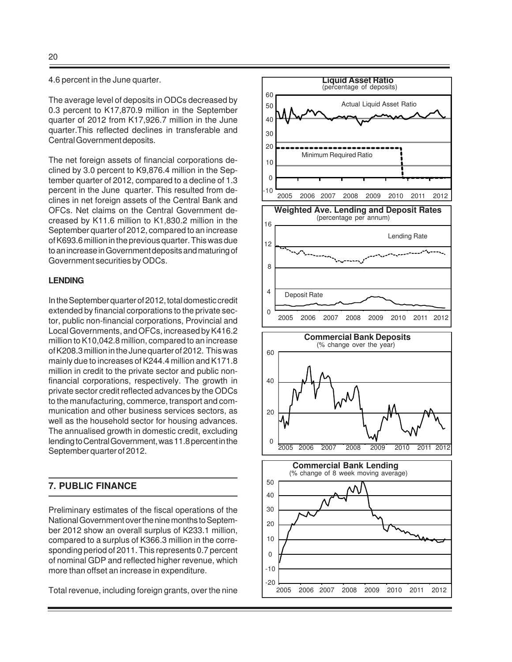4.6 percent in the June quarter.

The average level of deposits in ODCs decreased by 0.3 percent to K17,870.9 million in the September quarter of 2012 from K17,926.7 million in the June quarter.This reflected declines in transferable and Central Government deposits.

The net foreign assets of financial corporations declined by 3.0 percent to K9,876.4 million in the September quarter of 2012, compared to a decline of 1.3 percent in the June quarter. This resulted from declines in net foreign assets of the Central Bank and OFCs. Net claims on the Central Government decreased by K11.6 million to K1,830.2 million in the September quarter of 2012, compared to an increase of K693.6 million in the previous quarter. This was due to an increase in Government deposits and maturing of Government securities by ODCs.

## **LENDING**

In the September quarter of 2012, total domestic credit extended by financial corporations to the private sector, public non-financial corporations, Provincial and Local Governments, and OFCs, increased by K416.2 million to K10,042.8 million, compared to an increase of K208.3 million in the June quarter of 2012. This was mainly due to increases of K244.4 million and K171.8 million in credit to the private sector and public nonfinancial corporations, respectively. The growth in private sector credit reflected advances by the ODCs to the manufacturing, commerce, transport and communication and other business services sectors, as well as the household sector for housing advances. The annualised growth in domestic credit, excluding lending to Central Government, was 11.8 percent in the September quarter of 2012.

# **7. PUBLIC FINANCE**

Preliminary estimates of the fiscal operations of the National Government over the nine months to September 2012 show an overall surplus of K233.1 million, compared to a surplus of K366.3 million in the corresponding period of 2011. This represents 0.7 percent of nominal GDP and reflected higher revenue, which more than offset an increase in expenditure.

Total revenue, including foreign grants, over the nine

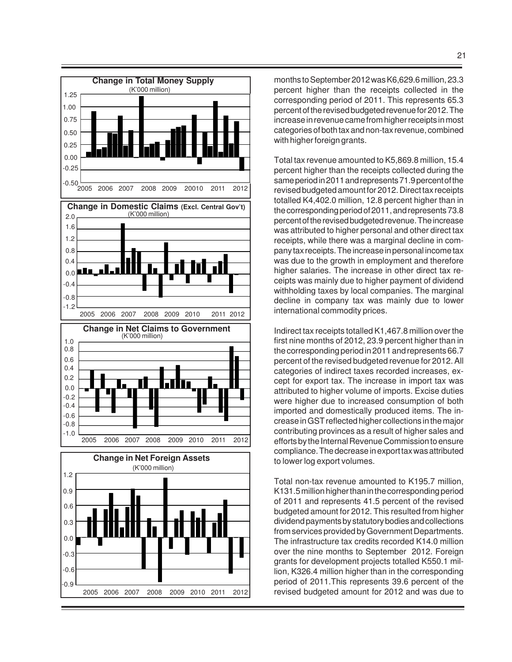

months to September 2012 was K6,629.6 million, 23.3 percent higher than the receipts collected in the corresponding period of 2011. This represents 65.3 percent of the revised budgeted revenue for 2012. The increase in revenue came from higher receipts in most categories of both tax and non-tax revenue, combined with higher foreign grants.

Total tax revenue amounted to K5,869.8 million, 15.4 percent higher than the receipts collected during the same period in 2011 and represents 71.9 percent of the revised budgeted amount for 2012. Direct tax receipts totalled K4,402.0 million, 12.8 percent higher than in the corresponding period of 2011, and represents 73.8 percent of the revised budgeted revenue. The increase was attributed to higher personal and other direct tax receipts, while there was a marginal decline in company tax receipts. The increase in personal income tax was due to the growth in employment and therefore higher salaries. The increase in other direct tax receipts was mainly due to higher payment of dividend withholding taxes by local companies. The marginal decline in company tax was mainly due to lower international commodity prices.

Indirect tax receipts totalled K1,467.8 million over the first nine months of 2012, 23.9 percent higher than in the corresponding period in 2011 and represents 66.7 percent of the revised budgeted revenue for 2012. All categories of indirect taxes recorded increases, except for export tax. The increase in import tax was attributed to higher volume of imports. Excise duties were higher due to increased consumption of both imported and domestically produced items. The increase in GST reflected higher collections in the major contributing provinces as a result of higher sales and efforts by the Internal Revenue Commission to ensure compliance. The decrease in export tax was attributed to lower log export volumes.

Total non-tax revenue amounted to K195.7 million, K131.5 million higher than in the corresponding period of 2011 and represents 41.5 percent of the revised budgeted amount for 2012. This resulted from higher dividend payments by statutory bodies and collections from services provided by Government Departments. The infrastructure tax credits recorded K14.0 million over the nine months to September 2012. Foreign grants for development projects totalled K550.1 million, K326.4 million higher than in the corresponding period of 2011.This represents 39.6 percent of the revised budgeted amount for 2012 and was due to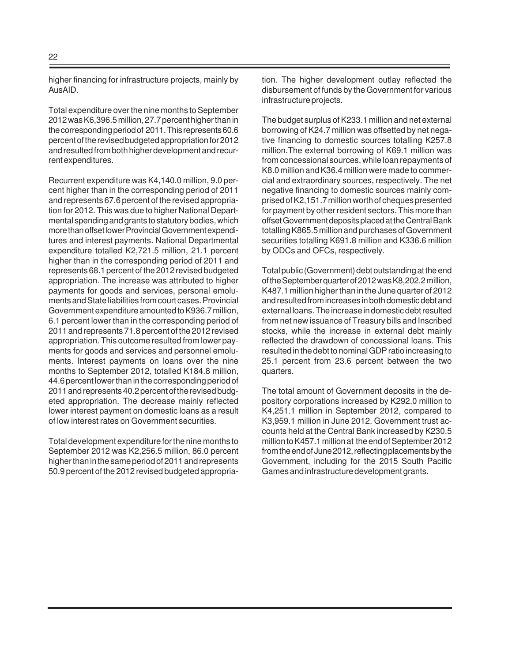higher financing for infrastructure projects, mainly by AusAID.

Total expenditure over the nine months to September 2012 was K6,396.5 million, 27.7 percent higher than in the corresponding period of 2011. This represents 60.6 percent of the revised budgeted appropriation for 2012 and resulted from both higher development and recurrent expenditures.

Recurrent expenditure was K4,140.0 million, 9.0 percent higher than in the corresponding period of 2011 and represents 67.6 percent of the revised appropriation for 2012. This was due to higher National Departmental spending and grants to statutory bodies, which more than offset lower Provincial Government expenditures and interest payments. National Departmental expenditure totalled K2,721.5 million, 21.1 percent higher than in the corresponding period of 2011 and represents 68.1 percent of the 2012 revised budgeted appropriation. The increase was attributed to higher payments for goods and services, personal emoluments and State liabilities from court cases. Provincial Government expenditure amounted to K936.7 million, 6.1 percent lower than in the corresponding period of 2011 and represents 71.8 percent of the 2012 revised appropriation. This outcome resulted from lower payments for goods and services and personnel emoluments. Interest payments on loans over the nine months to September 2012, totalled K184.8 million, 44.6 percent lower than in the corresponding period of 2011 and represents 40.2 percent of the revised budgeted appropriation. The decrease mainly reflected lower interest payment on domestic loans as a result of low interest rates on Government securities.

Total development expenditure for the nine months to September 2012 was K2,256.5 million, 86.0 percent higher than in the same period of 2011 and represents 50.9 percent of the 2012 revised budgeted appropriation. The higher development outlay reflected the disbursement of funds by the Government for various infrastructure projects.

The budget surplus of K233.1 million and net external borrowing of K24.7 million was offsetted by net negative financing to domestic sources totalling K257.8 million.The external borrowing of K69.1 million was from concessional sources, while loan repayments of K8.0 million and K36.4 million were made to commercial and extraordinary sources, respectively. The net negative financing to domestic sources mainly comprised of K2,151.7 million worth of cheques presented for payment by other resident sectors. This more than offset Government deposits placed at the Central Bank totalling K865.5 million and purchases of Government securities totalling K691.8 million and K336.6 million by ODCs and OFCs, respectively.

Total public (Government) debt outstanding at the end of the September quarter of 2012 was K8,202.2 million, K487.1 million higher than in the June quarter of 2012 and resulted from increases in both domestic debt and external loans. The increase in domestic debt resulted from net new issuance of Treasury bills and Inscribed stocks, while the increase in external debt mainly reflected the drawdown of concessional loans. This resulted in the debt to nominal GDP ratio increasing to 25.1 percent from 23.6 percent between the two quarters.

The total amount of Government deposits in the depository corporations increased by K292.0 million to K4,251.1 million in September 2012, compared to K3,959.1 million in June 2012. Government trust accounts held at the Central Bank increased by K230.5 million to K457.1 million at the end of September 2012 from the end of June 2012, reflecting placements by the Government, including for the 2015 South Pacific Games and infrastructure development grants.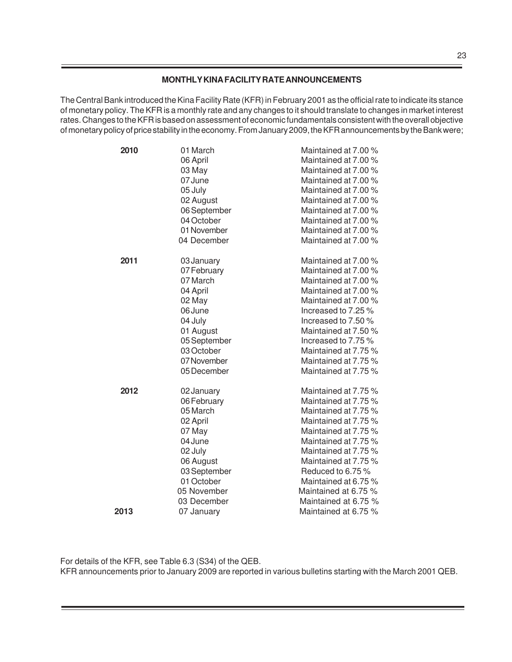### **MONTHLY KINA FACILITY RATE ANNOUNCEMENTS**

The Central Bank introduced the Kina Facility Rate (KFR) in February 2001 as the official rate to indicate its stance of monetary policy. The KFR is a monthly rate and any changes to it should translate to changes in market interest rates. Changes to the KFR is based on assessment of economic fundamentals consistent with the overall objective of monetary policy of price stability in the economy. From January 2009, the KFR announcements by the Bank were;

| 2010 | 01 March<br>06 April<br>03 May | Maintained at 7.00 %<br>Maintained at 7.00 %<br>Maintained at 7.00 % |
|------|--------------------------------|----------------------------------------------------------------------|
|      | 07 June                        | Maintained at 7.00 %                                                 |
|      | 05 July                        | Maintained at 7.00 %<br>Maintained at 7.00 %                         |
|      | 02 August<br>06 September      | Maintained at 7.00 %                                                 |
|      | 04 October                     | Maintained at 7.00 %                                                 |
|      | 01 November                    | Maintained at 7.00 %                                                 |
|      | 04 December                    | Maintained at 7.00 %                                                 |
|      |                                |                                                                      |
| 2011 | 03 January                     | Maintained at 7.00 %                                                 |
|      | 07 February                    | Maintained at 7.00 %                                                 |
|      | 07 March                       | Maintained at 7.00 %                                                 |
|      | 04 April                       | Maintained at 7.00 %                                                 |
|      | 02 May                         | Maintained at 7.00 %                                                 |
|      | 06 June                        | Increased to 7.25 %                                                  |
|      | 04 July                        | Increased to 7.50 %                                                  |
|      | 01 August                      | Maintained at 7.50 %                                                 |
|      | 05 September                   | Increased to 7.75 %                                                  |
|      | 03 October                     | Maintained at 7.75 %                                                 |
|      | 07 November                    | Maintained at 7.75 %                                                 |
|      | 05 December                    | Maintained at 7.75 %                                                 |
| 2012 | 02 January                     | Maintained at 7.75 %                                                 |
|      | 06 February                    | Maintained at 7.75 %                                                 |
|      | 05 March                       | Maintained at 7.75 %                                                 |
|      | 02 April                       | Maintained at 7.75 %                                                 |
|      | 07 May                         | Maintained at 7.75 %                                                 |
|      | 04 June                        | Maintained at 7.75 %                                                 |
|      | 02 July                        | Maintained at 7.75 %                                                 |
|      | 06 August                      | Maintained at 7.75 %                                                 |
|      | 03 September                   | Reduced to 6.75 %                                                    |
|      | 01 October                     | Maintained at 6.75 %                                                 |
|      | 05 November                    | Maintained at 6.75 %                                                 |
|      | 03 December                    | Maintained at 6.75 %                                                 |
| 2013 | 07 January                     | Maintained at 6.75 %                                                 |

For details of the KFR, see Table 6.3 (S34) of the QEB.

KFR announcements prior to January 2009 are reported in various bulletins starting with the March 2001 QEB.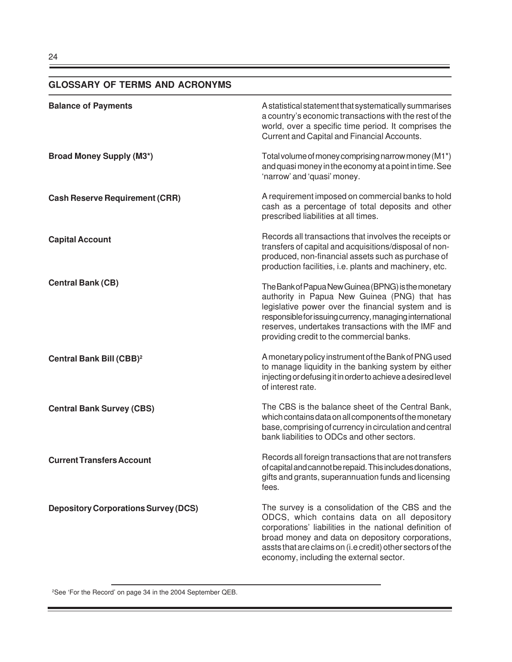# **GLOSSARY OF TERMS AND ACRONYMS**

| <b>Balance of Payments</b>                  | A statistical statement that systematically summarises<br>a country's economic transactions with the rest of the<br>world, over a specific time period. It comprises the<br>Current and Capital and Financial Accounts.                                                                                                  |
|---------------------------------------------|--------------------------------------------------------------------------------------------------------------------------------------------------------------------------------------------------------------------------------------------------------------------------------------------------------------------------|
| <b>Broad Money Supply (M3*)</b>             | Total volume of money comprising narrow money (M1*)<br>and quasi money in the economy at a point in time. See<br>'narrow' and 'quasi' money.                                                                                                                                                                             |
| <b>Cash Reserve Requirement (CRR)</b>       | A requirement imposed on commercial banks to hold<br>cash as a percentage of total deposits and other<br>prescribed liabilities at all times.                                                                                                                                                                            |
| <b>Capital Account</b>                      | Records all transactions that involves the receipts or<br>transfers of capital and acquisitions/disposal of non-<br>produced, non-financial assets such as purchase of<br>production facilities, i.e. plants and machinery, etc.                                                                                         |
| <b>Central Bank (CB)</b>                    | The Bank of Papua New Guinea (BPNG) is the monetary<br>authority in Papua New Guinea (PNG) that has<br>legislative power over the financial system and is<br>responsible for issuing currency, managing international<br>reserves, undertakes transactions with the IMF and<br>providing credit to the commercial banks. |
| Central Bank Bill (CBB) <sup>2</sup>        | A monetary policy instrument of the Bank of PNG used<br>to manage liquidity in the banking system by either<br>injecting or defusing it in order to achieve a desired level<br>of interest rate.                                                                                                                         |
| <b>Central Bank Survey (CBS)</b>            | The CBS is the balance sheet of the Central Bank,<br>which contains data on all components of the monetary<br>base, comprising of currency in circulation and central<br>bank liabilities to ODCs and other sectors.                                                                                                     |
| <b>Current Transfers Account</b>            | Records all foreign transactions that are not transfers<br>of capital and cannot be repaid. This includes donations,<br>gifts and grants, superannuation funds and licensing<br>fees.                                                                                                                                    |
| <b>Depository Corporations Survey (DCS)</b> | The survey is a consolidation of the CBS and the<br>ODCS, which contains data on all depository<br>corporations' liabilities in the national definition of<br>broad money and data on depository corporations,<br>assts that are claims on (i.e credit) other sectors of the<br>economy, including the external sector.  |

<sup>2</sup>See 'For the Record' on page 34 in the 2004 September QEB.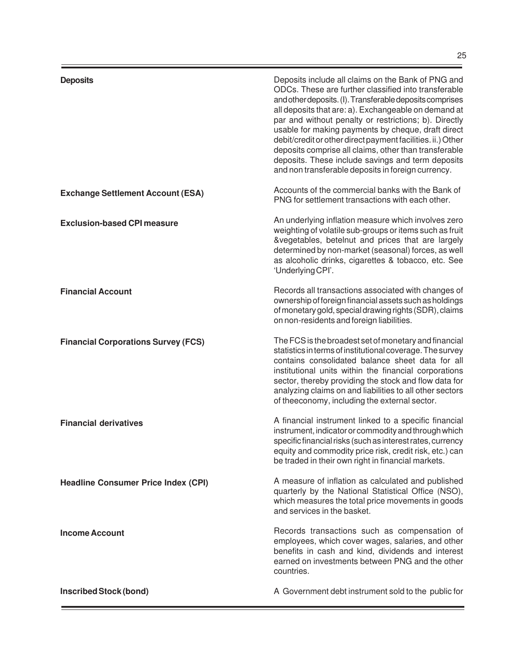| <b>Deposits</b>                            | Deposits include all claims on the Bank of PNG and<br>ODCs. These are further classified into transferable<br>and other deposits. (I). Transferable deposits comprises<br>all deposits that are: a). Exchangeable on demand at<br>par and without penalty or restrictions; b). Directly<br>usable for making payments by cheque, draft direct<br>debit/credit or other direct payment facilities. ii.) Other<br>deposits comprise all claims, other than transferable<br>deposits. These include savings and term deposits<br>and non transferable deposits in foreign currency. |
|--------------------------------------------|----------------------------------------------------------------------------------------------------------------------------------------------------------------------------------------------------------------------------------------------------------------------------------------------------------------------------------------------------------------------------------------------------------------------------------------------------------------------------------------------------------------------------------------------------------------------------------|
| <b>Exchange Settlement Account (ESA)</b>   | Accounts of the commercial banks with the Bank of<br>PNG for settlement transactions with each other.                                                                                                                                                                                                                                                                                                                                                                                                                                                                            |
| <b>Exclusion-based CPI measure</b>         | An underlying inflation measure which involves zero<br>weighting of volatile sub-groups or items such as fruit<br>&vegetables, betelnut and prices that are largely<br>determined by non-market (seasonal) forces, as well<br>as alcoholic drinks, cigarettes & tobacco, etc. See<br>'Underlying CPI'.                                                                                                                                                                                                                                                                           |
| <b>Financial Account</b>                   | Records all transactions associated with changes of<br>ownership of foreign financial assets such as holdings<br>of monetary gold, special drawing rights (SDR), claims<br>on non-residents and foreign liabilities.                                                                                                                                                                                                                                                                                                                                                             |
| <b>Financial Corporations Survey (FCS)</b> | The FCS is the broadest set of monetary and financial<br>statistics in terms of institutional coverage. The survey<br>contains consolidated balance sheet data for all<br>institutional units within the financial corporations<br>sector, thereby providing the stock and flow data for<br>analyzing claims on and liabilities to all other sectors<br>of theeconomy, including the external sector.                                                                                                                                                                            |
| <b>Financial derivatives</b>               | A financial instrument linked to a specific financial<br>instrument, indicator or commodity and through which<br>specific financial risks (such as interest rates, currency<br>equity and commodity price risk, credit risk, etc.) can<br>be traded in their own right in financial markets.                                                                                                                                                                                                                                                                                     |
| <b>Headline Consumer Price Index (CPI)</b> | A measure of inflation as calculated and published<br>quarterly by the National Statistical Office (NSO),<br>which measures the total price movements in goods<br>and services in the basket.                                                                                                                                                                                                                                                                                                                                                                                    |
| <b>Income Account</b>                      | Records transactions such as compensation of<br>employees, which cover wages, salaries, and other<br>benefits in cash and kind, dividends and interest<br>earned on investments between PNG and the other<br>countries.                                                                                                                                                                                                                                                                                                                                                          |
| <b>Inscribed Stock (bond)</b>              | A Government debt instrument sold to the public for                                                                                                                                                                                                                                                                                                                                                                                                                                                                                                                              |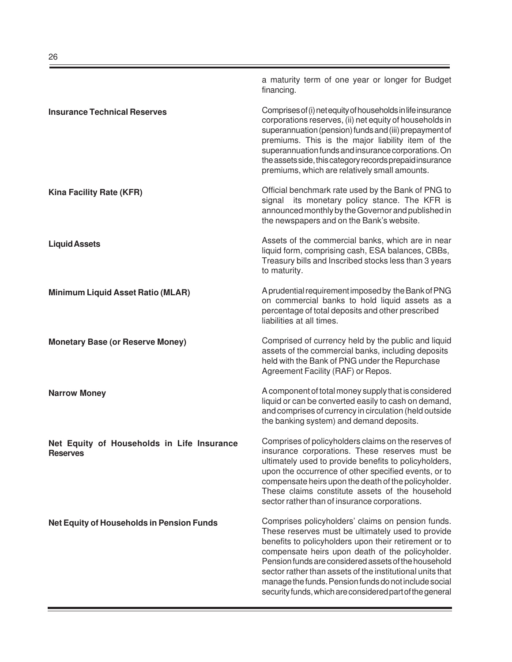|                                                               | a maturity term of one year or longer for Budget<br>financing.                                                                                                                                                                                                                                                                                                                                                                                                |
|---------------------------------------------------------------|---------------------------------------------------------------------------------------------------------------------------------------------------------------------------------------------------------------------------------------------------------------------------------------------------------------------------------------------------------------------------------------------------------------------------------------------------------------|
| <b>Insurance Technical Reserves</b>                           | Comprises of (i) net equity of households in life insurance<br>corporations reserves, (ii) net equity of households in<br>superannuation (pension) funds and (iii) prepayment of<br>premiums. This is the major liability item of the<br>superannuation funds and insurance corporations. On<br>the assets side, this category records prepaid insurance<br>premiums, which are relatively small amounts.                                                     |
| Kina Facility Rate (KFR)                                      | Official benchmark rate used by the Bank of PNG to<br>signal its monetary policy stance. The KFR is<br>announced monthly by the Governor and published in<br>the newspapers and on the Bank's website.                                                                                                                                                                                                                                                        |
| <b>Liquid Assets</b>                                          | Assets of the commercial banks, which are in near<br>liquid form, comprising cash, ESA balances, CBBs,<br>Treasury bills and Inscribed stocks less than 3 years<br>to maturity.                                                                                                                                                                                                                                                                               |
| <b>Minimum Liquid Asset Ratio (MLAR)</b>                      | A prudential requirement imposed by the Bank of PNG<br>on commercial banks to hold liquid assets as a<br>percentage of total deposits and other prescribed<br>liabilities at all times.                                                                                                                                                                                                                                                                       |
| <b>Monetary Base (or Reserve Money)</b>                       | Comprised of currency held by the public and liquid<br>assets of the commercial banks, including deposits<br>held with the Bank of PNG under the Repurchase<br>Agreement Facility (RAF) or Repos.                                                                                                                                                                                                                                                             |
| <b>Narrow Money</b>                                           | A component of total money supply that is considered<br>liquid or can be converted easily to cash on demand,<br>and comprises of currency in circulation (held outside<br>the banking system) and demand deposits.                                                                                                                                                                                                                                            |
| Net Equity of Households in Life Insurance<br><b>Reserves</b> | Comprises of policyholders claims on the reserves of<br>insurance corporations. These reserves must be<br>ultimately used to provide benefits to policyholders,<br>upon the occurrence of other specified events, or to<br>compensate heirs upon the death of the policyholder.<br>These claims constitute assets of the household<br>sector rather than of insurance corporations.                                                                           |
| Net Equity of Households in Pension Funds                     | Comprises policyholders' claims on pension funds.<br>These reserves must be ultimately used to provide<br>benefits to policyholders upon their retirement or to<br>compensate heirs upon death of the policyholder.<br>Pension funds are considered assets of the household<br>sector rather than assets of the institutional units that<br>manage the funds. Pension funds do not include social<br>security funds, which are considered part of the general |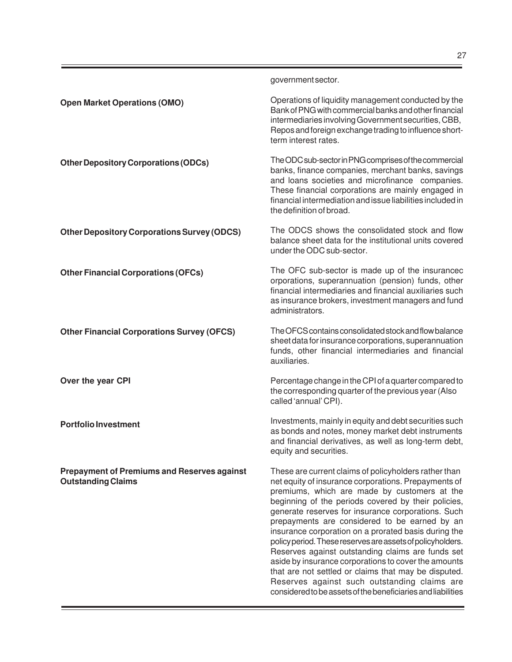The ODC sub-sector in PNG comprises of the commercial banks, finance companies, merchant banks, savings and loans societies and microfinance companies. These financial corporations are mainly engaged in financial intermediation and issue liabilities included in the definition of broad.

government sector.

term interest rates.

The ODCS shows the consolidated stock and flow balance sheet data for the institutional units covered under the ODC sub-sector.

The OFC sub-sector is made up of the insurancec orporations, superannuation (pension) funds, other financial intermediaries and financial auxiliaries such as insurance brokers, investment managers and fund administrators.

The OFCS contains consolidated stock and flow balance sheet data for insurance corporations, superannuation funds, other financial intermediaries and financial auxiliaries.

Percentage change in the CPI of a quarter compared to the corresponding quarter of the previous year (Also called 'annual' CPI).

Investments, mainly in equity and debt securities such as bonds and notes, money market debt instruments and financial derivatives, as well as long-term debt, equity and securities.

These are current claims of policyholders rather than net equity of insurance corporations. Prepayments of premiums, which are made by customers at the beginning of the periods covered by their policies, generate reserves for insurance corporations. Such prepayments are considered to be earned by an insurance corporation on a prorated basis during the policy period. These reserves are assets of policyholders. Reserves against outstanding claims are funds set aside by insurance corporations to cover the amounts that are not settled or claims that may be disputed. Reserves against such outstanding claims are considered to be assets of the beneficiaries and liabilities

**Other Depository Corporations Survey (ODCS)**

**Other Financial Corporations (OFCs)**

**Other Depository Corporations (ODCs)**

**Open Market Operations (OMO)**

**Other Financial Corporations Survey (OFCS)**

**Over the year CPI**

**Portfolio Investment**

**Prepayment of Premiums and Reserves against Outstanding Claims**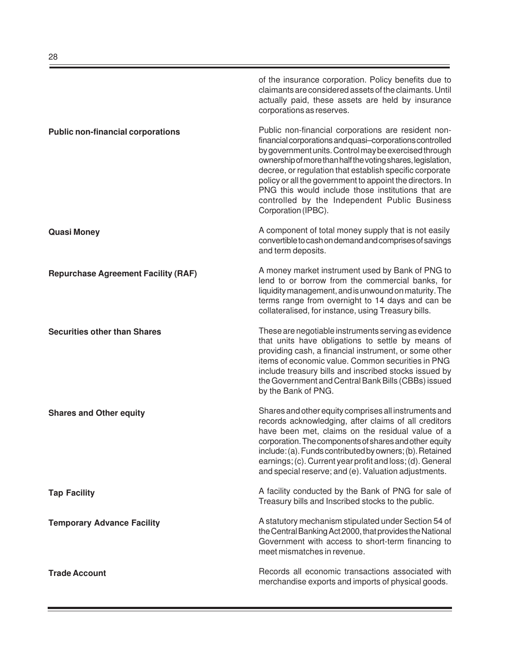of the insurance corporation. Policy benefits due to claimants are considered assets of the claimants. Until actually paid, these assets are held by insurance corporations as reserves. Public non-financial corporations are resident nonfinancial corporations and quasi–corporations controlled by government units. Control may be exercised through ownership of more than half the voting shares, legislation, decree, or regulation that establish specific corporate policy or all the government to appoint the directors. In PNG this would include those institutions that are controlled by the Independent Public Business Corporation (IPBC). A component of total money supply that is not easily convertible to cash on demand and comprises of savings and term deposits. A money market instrument used by Bank of PNG to lend to or borrow from the commercial banks, for liquidity management, and is unwound on maturity. The terms range from overnight to 14 days and can be collateralised, for instance, using Treasury bills. These are negotiable instruments serving as evidence that units have obligations to settle by means of providing cash, a financial instrument, or some other items of economic value. Common securities in PNG include treasury bills and inscribed stocks issued by the Government and Central Bank Bills (CBBs) issued by the Bank of PNG. Shares and other equity comprises all instruments and records acknowledging, after claims of all creditors have been met, claims on the residual value of a corporation. The components of shares and other equity include: (a). Funds contributed by owners; (b). Retained earnings; (c). Current year profit and loss; (d). General and special reserve; and (e). Valuation adjustments. A facility conducted by the Bank of PNG for sale of Treasury bills and Inscribed stocks to the public. A statutory mechanism stipulated under Section 54 of the Central Banking Act 2000, that provides the National Government with access to short-term financing to meet mismatches in revenue. Records all economic transactions associated with merchandise exports and imports of physical goods. **Public non-financial corporations Quasi Money Repurchase Agreement Facility (RAF) Securities other than Shares Shares and Other equity Tap Facility Temporary Advance Facility Trade Account**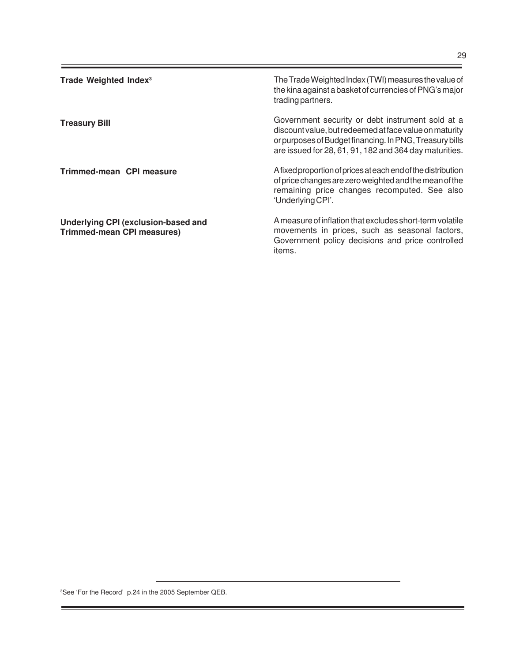| Trade Weighted Index <sup>3</sup>                                        | The Trade Weighted Index (TWI) measures the value of<br>the kina against a basket of currencies of PNG's major<br>trading partners.                                                                                             |
|--------------------------------------------------------------------------|---------------------------------------------------------------------------------------------------------------------------------------------------------------------------------------------------------------------------------|
| <b>Treasury Bill</b>                                                     | Government security or debt instrument sold at a<br>discount value, but redeemed at face value on maturity<br>or purposes of Budget financing. In PNG, Treasury bills<br>are issued for 28, 61, 91, 182 and 364 day maturities. |
| Trimmed-mean CPI measure                                                 | A fixed proportion of prices at each end of the distribution<br>of price changes are zero weighted and the mean of the<br>remaining price changes recomputed. See also<br>'Underlying CPI'.                                     |
| Underlying CPI (exclusion-based and<br><b>Trimmed-mean CPI measures)</b> | A measure of inflation that excludes short-term volatile<br>movements in prices, such as seasonal factors,<br>Government policy decisions and price controlled<br>items.                                                        |

<sup>3</sup>See 'For the Record' p.24 in the 2005 September QEB.

-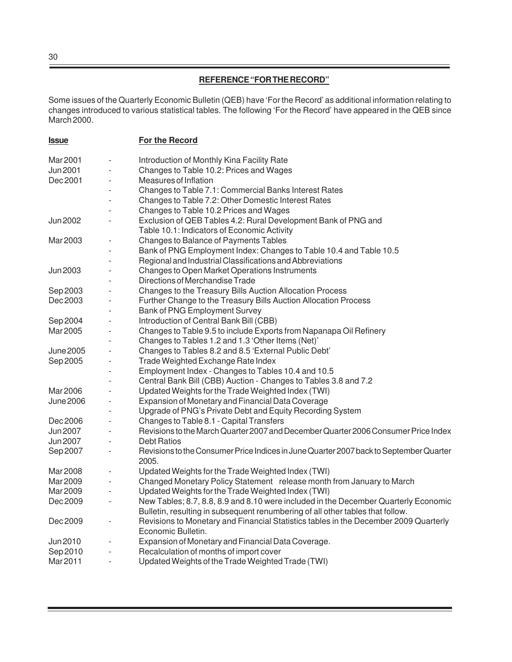## **REFERENCE "FOR THE RECORD"**

Some issues of the Quarterly Economic Bulletin (QEB) have 'For the Record' as additional information relating to changes introduced to various statistical tables. The following 'For the Record' have appeared in the QEB since March 2000.

| <u><b>Issue</b></u> |                              | For the Record                                                                                             |
|---------------------|------------------------------|------------------------------------------------------------------------------------------------------------|
| Mar 2001            |                              | Introduction of Monthly Kina Facility Rate                                                                 |
| <b>Jun 2001</b>     |                              | Changes to Table 10.2: Prices and Wages                                                                    |
| Dec 2001            |                              | Measures of Inflation                                                                                      |
|                     |                              | Changes to Table 7.1: Commercial Banks Interest Rates                                                      |
|                     |                              | Changes to Table 7.2: Other Domestic Interest Rates                                                        |
|                     |                              | Changes to Table 10.2 Prices and Wages                                                                     |
| Jun 2002            |                              | Exclusion of QEB Tables 4.2: Rural Development Bank of PNG and                                             |
|                     |                              | Table 10.1: Indicators of Economic Activity                                                                |
| Mar 2003            |                              | Changes to Balance of Payments Tables                                                                      |
|                     |                              | Bank of PNG Employment Index: Changes to Table 10.4 and Table 10.5                                         |
|                     |                              | Regional and Industrial Classifications and Abbreviations                                                  |
| Jun 2003            |                              | Changes to Open Market Operations Instruments                                                              |
|                     |                              | Directions of Merchandise Trade                                                                            |
| Sep 2003            |                              | Changes to the Treasury Bills Auction Allocation Process                                                   |
| Dec 2003            |                              | Further Change to the Treasury Bills Auction Allocation Process                                            |
|                     |                              | Bank of PNG Employment Survey                                                                              |
| Sep 2004            |                              | Introduction of Central Bank Bill (CBB)                                                                    |
| Mar 2005            |                              | Changes to Table 9.5 to include Exports from Napanapa Oil Refinery                                         |
|                     |                              | Changes to Tables 1.2 and 1.3 'Other Items (Net)'                                                          |
| <b>June 2005</b>    |                              | Changes to Tables 8.2 and 8.5 'External Public Debt'                                                       |
| Sep 2005            |                              | Trade Weighted Exchange Rate Index                                                                         |
|                     |                              | Employment Index - Changes to Tables 10.4 and 10.5                                                         |
|                     |                              | Central Bank Bill (CBB) Auction - Changes to Tables 3.8 and 7.2                                            |
| Mar 2006            |                              | Updated Weights for the Trade Weighted Index (TWI)                                                         |
| June 2006           |                              | Expansion of Monetary and Financial Data Coverage                                                          |
|                     |                              | Upgrade of PNG's Private Debt and Equity Recording System                                                  |
| Dec 2006            |                              | Changes to Table 8.1 - Capital Transfers                                                                   |
| Jun 2007            |                              | Revisions to the March Quarter 2007 and December Quarter 2006 Consumer Price Index                         |
| Jun 2007            |                              | <b>Debt Ratios</b>                                                                                         |
| Sep 2007            | $\overline{a}$               | Revisions to the Consumer Price Indices in June Quarter 2007 back to September Quarter<br>2005.            |
| Mar 2008            |                              | Updated Weights for the Trade Weighted Index (TWI)                                                         |
| Mar 2009            |                              | Changed Monetary Policy Statement release month from January to March                                      |
| Mar 2009            |                              | Updated Weights for the Trade Weighted Index (TWI)                                                         |
| Dec 2009            | $\qquad \qquad \blacksquare$ | New Tables; 8.7, 8.8, 8.9 and 8.10 were included in the December Quarterly Economic                        |
|                     |                              | Bulletin, resulting in subsequent renumbering of all other tables that follow.                             |
| Dec 2009            | ÷,                           | Revisions to Monetary and Financial Statistics tables in the December 2009 Quarterly<br>Economic Bulletin. |
| Jun 2010            |                              | Expansion of Monetary and Financial Data Coverage.                                                         |
| Sep 2010            |                              | Recalculation of months of import cover                                                                    |
| Mar 2011            | $\overline{a}$               | Updated Weights of the Trade Weighted Trade (TWI)                                                          |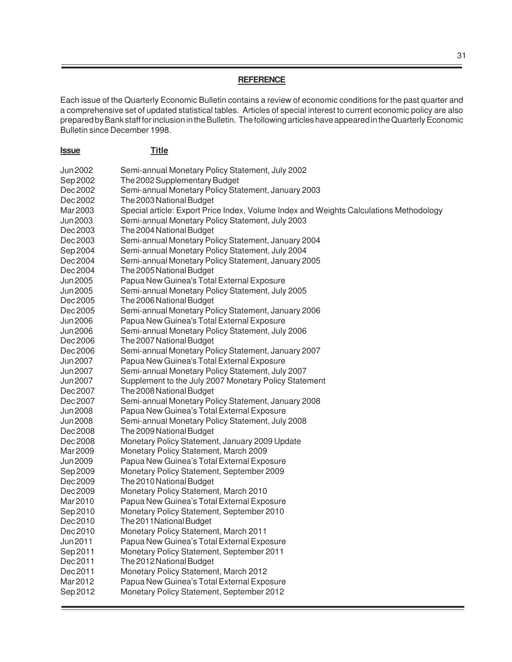#### **REFERENCE**

Each issue of the Quarterly Economic Bulletin contains a review of economic conditions for the past quarter and a comprehensive set of updated statistical tables. Articles of special interest to current economic policy are also prepared by Bank staff for inclusion in the Bulletin. The following articles have appeared in the Quarterly Economic Bulletin since December 1998.

| <u><b>Issue</b></u>  | <b>Title</b>                                                                            |
|----------------------|-----------------------------------------------------------------------------------------|
| Jun 2002             | Semi-annual Monetary Policy Statement, July 2002                                        |
| Sep 2002             | The 2002 Supplementary Budget                                                           |
| Dec 2002             | Semi-annual Monetary Policy Statement, January 2003                                     |
| Dec 2002             | The 2003 National Budget                                                                |
| Mar 2003             | Special article: Export Price Index, Volume Index and Weights Calculations Methodology  |
| Jun 2003             | Semi-annual Monetary Policy Statement, July 2003                                        |
| Dec 2003             | The 2004 National Budget                                                                |
| Dec 2003             | Semi-annual Monetary Policy Statement, January 2004                                     |
| Sep 2004             | Semi-annual Monetary Policy Statement, July 2004                                        |
| Dec 2004             | Semi-annual Monetary Policy Statement, January 2005                                     |
| Dec 2004             | The 2005 National Budget                                                                |
| Jun 2005             | Papua New Guinea's Total External Exposure                                              |
| Jun 2005             | Semi-annual Monetary Policy Statement, July 2005                                        |
| Dec 2005             | The 2006 National Budget                                                                |
| Dec 2005             | Semi-annual Monetary Policy Statement, January 2006                                     |
| Jun 2006             | Papua New Guinea's Total External Exposure                                              |
| Jun 2006             | Semi-annual Monetary Policy Statement, July 2006                                        |
| Dec 2006             | The 2007 National Budget                                                                |
| Dec 2006             | Semi-annual Monetary Policy Statement, January 2007                                     |
| Jun 2007             | Papua New Guinea's Total External Exposure                                              |
| Jun 2007             | Semi-annual Monetary Policy Statement, July 2007                                        |
| Jun 2007             | Supplement to the July 2007 Monetary Policy Statement                                   |
| Dec 2007             | The 2008 National Budget                                                                |
| Dec 2007             | Semi-annual Monetary Policy Statement, January 2008                                     |
| <b>Jun 2008</b>      | Papua New Guinea's Total External Exposure                                              |
| <b>Jun 2008</b>      | Semi-annual Monetary Policy Statement, July 2008                                        |
| Dec 2008             | The 2009 National Budget                                                                |
| Dec 2008             | Monetary Policy Statement, January 2009 Update                                          |
| Mar 2009             | Monetary Policy Statement, March 2009                                                   |
| <b>Jun 2009</b>      | Papua New Guinea's Total External Exposure                                              |
| Sep 2009             | Monetary Policy Statement, September 2009                                               |
| Dec 2009             | The 2010 National Budget                                                                |
| Dec 2009             | Monetary Policy Statement, March 2010                                                   |
| Mar 2010             | Papua New Guinea's Total External Exposure                                              |
| Sep 2010             | Monetary Policy Statement, September 2010                                               |
| Dec 2010             | The 2011 National Budget                                                                |
| Dec 2010             | Monetary Policy Statement, March 2011                                                   |
| Jun 2011             | Papua New Guinea's Total External Exposure                                              |
| Sep 2011             | Monetary Policy Statement, September 2011                                               |
| Dec 2011<br>Dec 2011 | The 2012 National Budget                                                                |
| Mar 2012             | Monetary Policy Statement, March 2012                                                   |
| Sep 2012             | Papua New Guinea's Total External Exposure<br>Monetary Policy Statement, September 2012 |
|                      |                                                                                         |